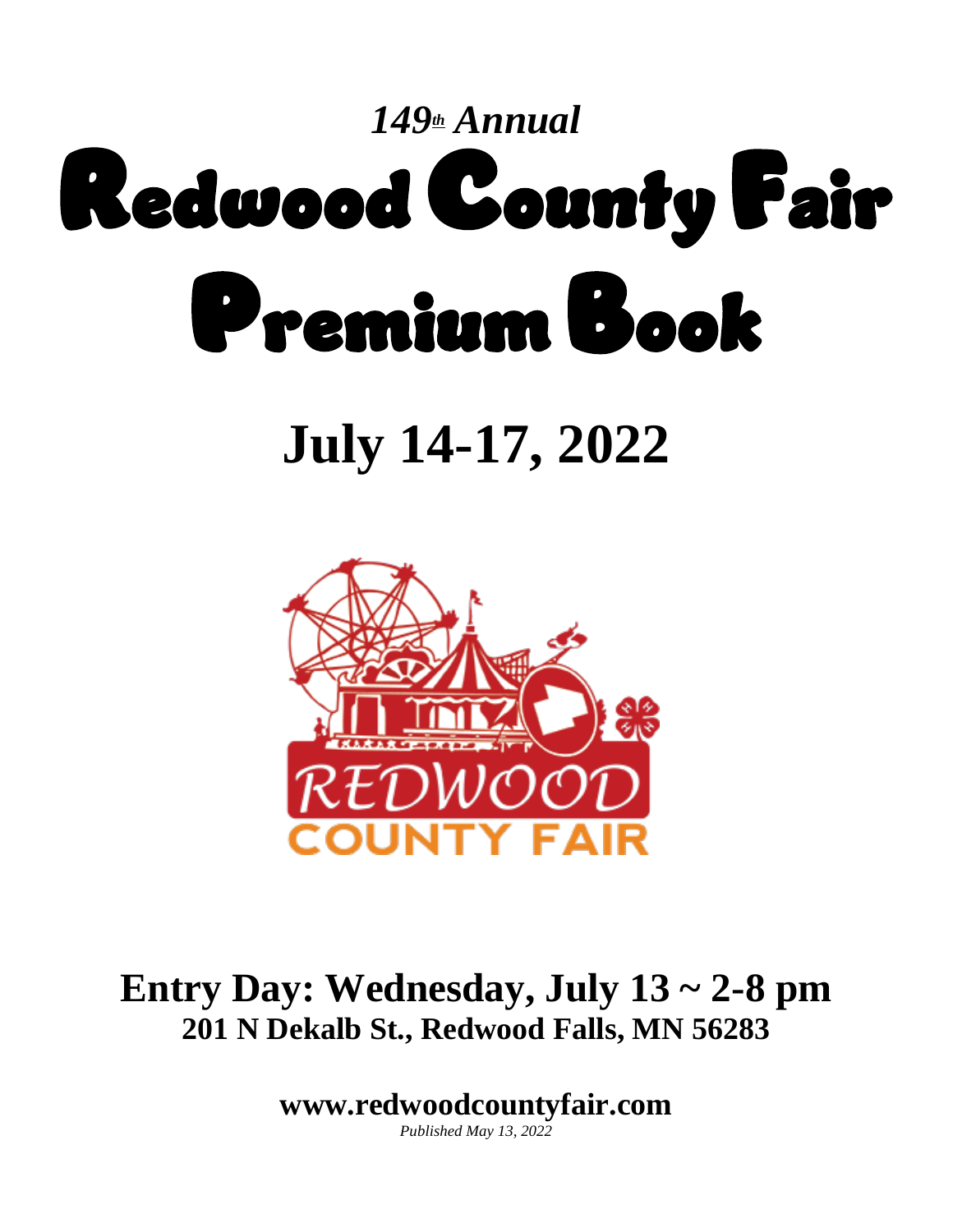

# **July 14-17, 2022**



# **Entry Day: Wednesday, July 13 ~ 2-8 pm 201 N Dekalb St., Redwood Falls, MN 56283**

**www.redwoodcountyfair.com**

*Published May 13, 2022*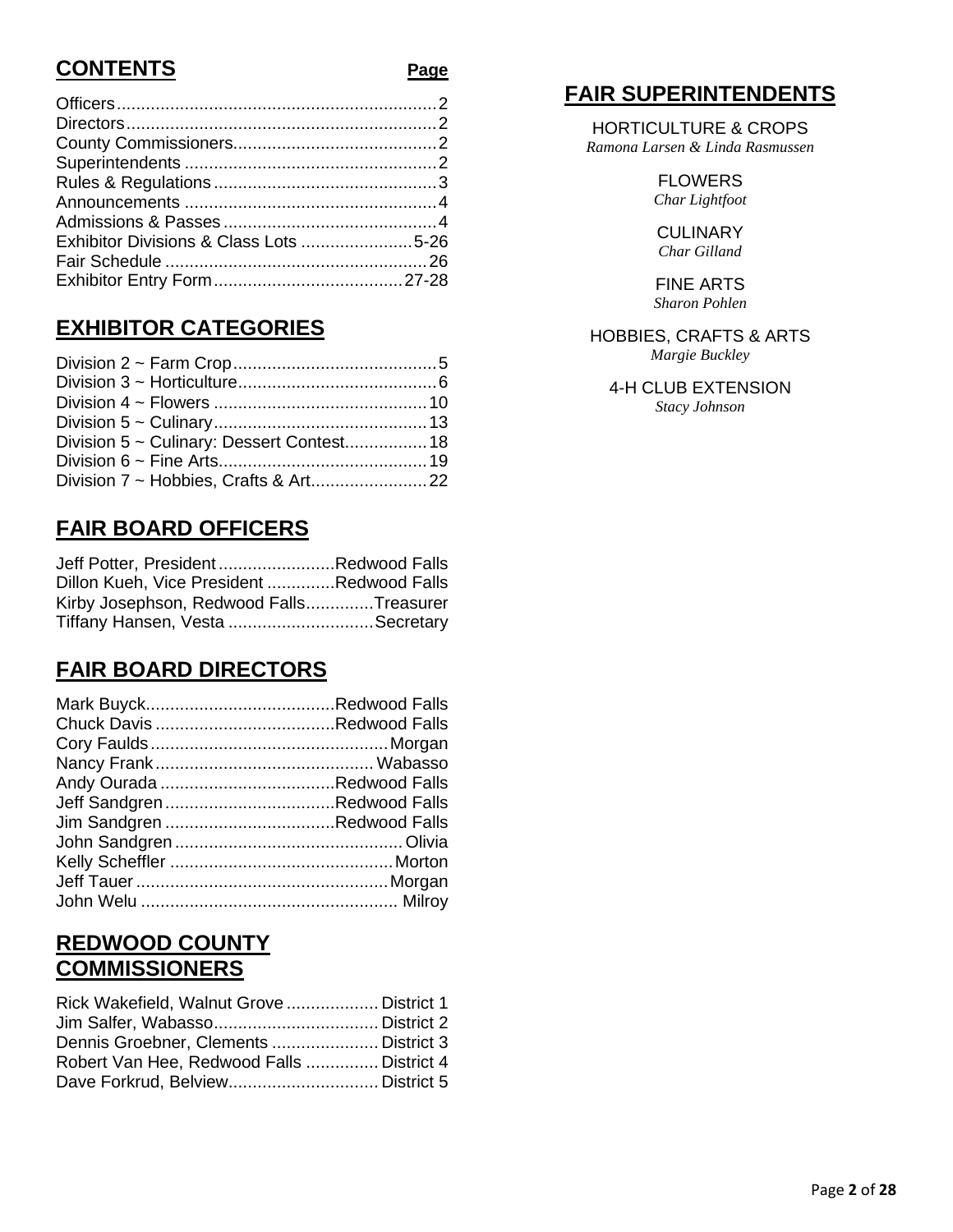# **CONTENTS**

| Exhibitor Divisions & Class Lots 5-26 |  |
|---------------------------------------|--|
|                                       |  |
|                                       |  |
|                                       |  |

# **EXHIBITOR CATEGORIES**

| Division 5 ~ Culinary: Dessert Contest 18 |  |
|-------------------------------------------|--|
|                                           |  |
|                                           |  |

# **FAIR BOARD OFFICERS**

| Jeff Potter, PresidentRedwood Falls       |  |
|-------------------------------------------|--|
| Dillon Kueh, Vice President Redwood Falls |  |
| Kirby Josephson, Redwood FallsTreasurer   |  |
| Tiffany Hansen, Vesta Secretary           |  |

# **FAIR BOARD DIRECTORS**

## **REDWOOD COUNTY COMMISSIONERS**

| Rick Wakefield, Walnut Grove  District 1  |  |
|-------------------------------------------|--|
|                                           |  |
| Dennis Groebner, Clements  District 3     |  |
| Robert Van Hee, Redwood Falls  District 4 |  |
|                                           |  |

# **FAIR SUPERINTENDENTS**

HORTICULTURE & CROPS *Ramona Larsen & Linda Rasmussen*

> FLOWERS *Char Lightfoot*

**CULINARY** *Char Gilland*

FINE ARTS *Sharon Pohlen*

#### HOBBIES, CRAFTS & ARTS

*Margie Buckley*

4-H CLUB EXTENSION *Stacy Johnson*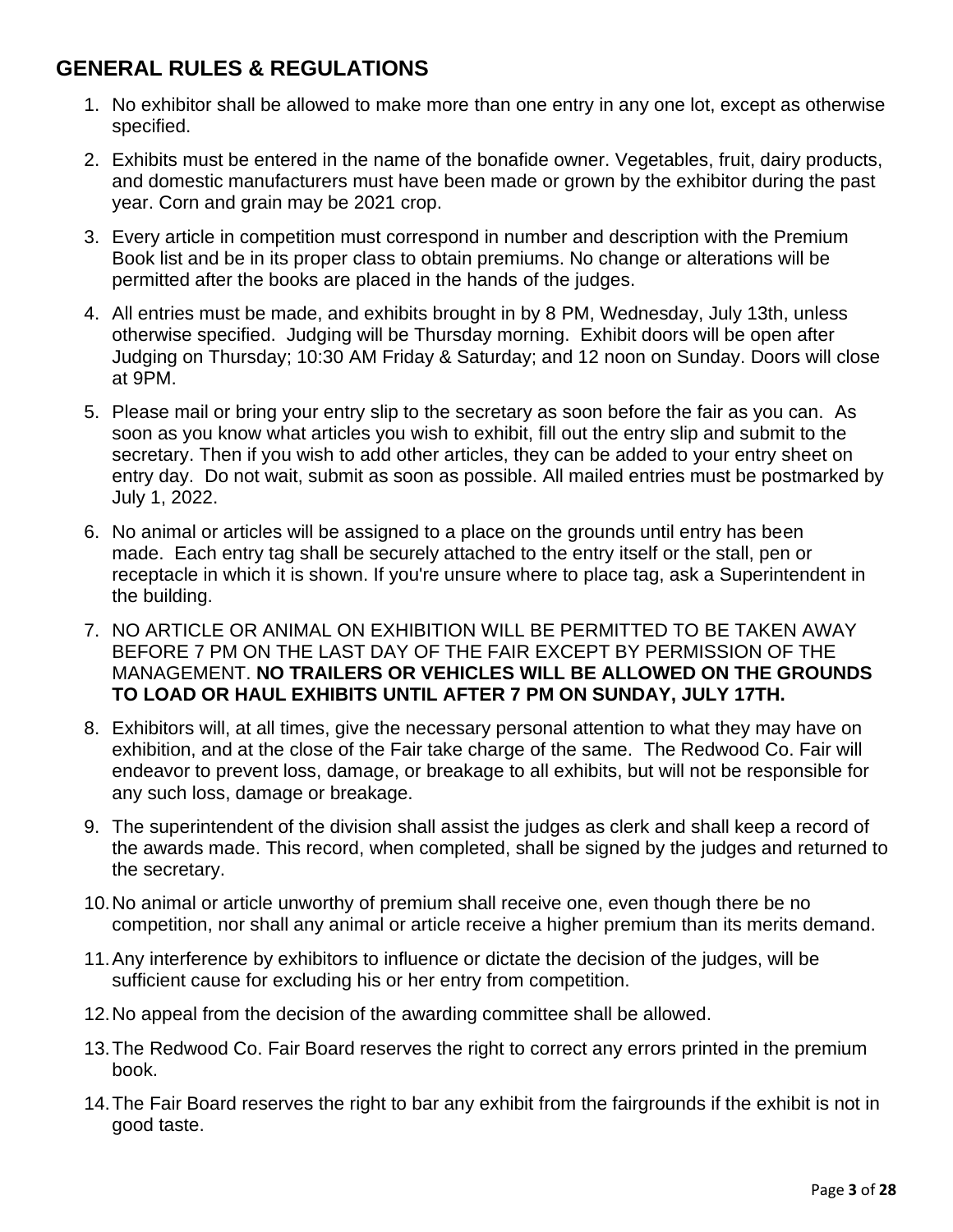# **GENERAL RULES & REGULATIONS**

- 1. No exhibitor shall be allowed to make more than one entry in any one lot, except as otherwise specified.
- 2. Exhibits must be entered in the name of the bonafide owner. Vegetables, fruit, dairy products, and domestic manufacturers must have been made or grown by the exhibitor during the past year. Corn and grain may be 2021 crop.
- 3. Every article in competition must correspond in number and description with the Premium Book list and be in its proper class to obtain premiums. No change or alterations will be permitted after the books are placed in the hands of the judges.
- 4. All entries must be made, and exhibits brought in by 8 PM, Wednesday, July 13th, unless otherwise specified. Judging will be Thursday morning. Exhibit doors will be open after Judging on Thursday; 10:30 AM Friday & Saturday; and 12 noon on Sunday. Doors will close at 9PM.
- 5. Please mail or bring your entry slip to the secretary as soon before the fair as you can. As soon as you know what articles you wish to exhibit, fill out the entry slip and submit to the secretary. Then if you wish to add other articles, they can be added to your entry sheet on entry day. Do not wait, submit as soon as possible. All mailed entries must be postmarked by July 1, 2022.
- 6. No animal or articles will be assigned to a place on the grounds until entry has been made. Each entry tag shall be securely attached to the entry itself or the stall, pen or receptacle in which it is shown. If you're unsure where to place tag, ask a Superintendent in the building.
- 7. NO ARTICLE OR ANIMAL ON EXHIBITION WILL BE PERMITTED TO BE TAKEN AWAY BEFORE 7 PM ON THE LAST DAY OF THE FAIR EXCEPT BY PERMISSION OF THE MANAGEMENT. **NO TRAILERS OR VEHICLES WILL BE ALLOWED ON THE GROUNDS TO LOAD OR HAUL EXHIBITS UNTIL AFTER 7 PM ON SUNDAY, JULY 17TH.**
- 8. Exhibitors will, at all times, give the necessary personal attention to what they may have on exhibition, and at the close of the Fair take charge of the same. The Redwood Co. Fair will endeavor to prevent loss, damage, or breakage to all exhibits, but will not be responsible for any such loss, damage or breakage.
- 9. The superintendent of the division shall assist the judges as clerk and shall keep a record of the awards made. This record, when completed, shall be signed by the judges and returned to the secretary.
- 10.No animal or article unworthy of premium shall receive one, even though there be no competition, nor shall any animal or article receive a higher premium than its merits demand.
- 11.Any interference by exhibitors to influence or dictate the decision of the judges, will be sufficient cause for excluding his or her entry from competition.
- 12.No appeal from the decision of the awarding committee shall be allowed.
- 13.The Redwood Co. Fair Board reserves the right to correct any errors printed in the premium book.
- 14.The Fair Board reserves the right to bar any exhibit from the fairgrounds if the exhibit is not in good taste.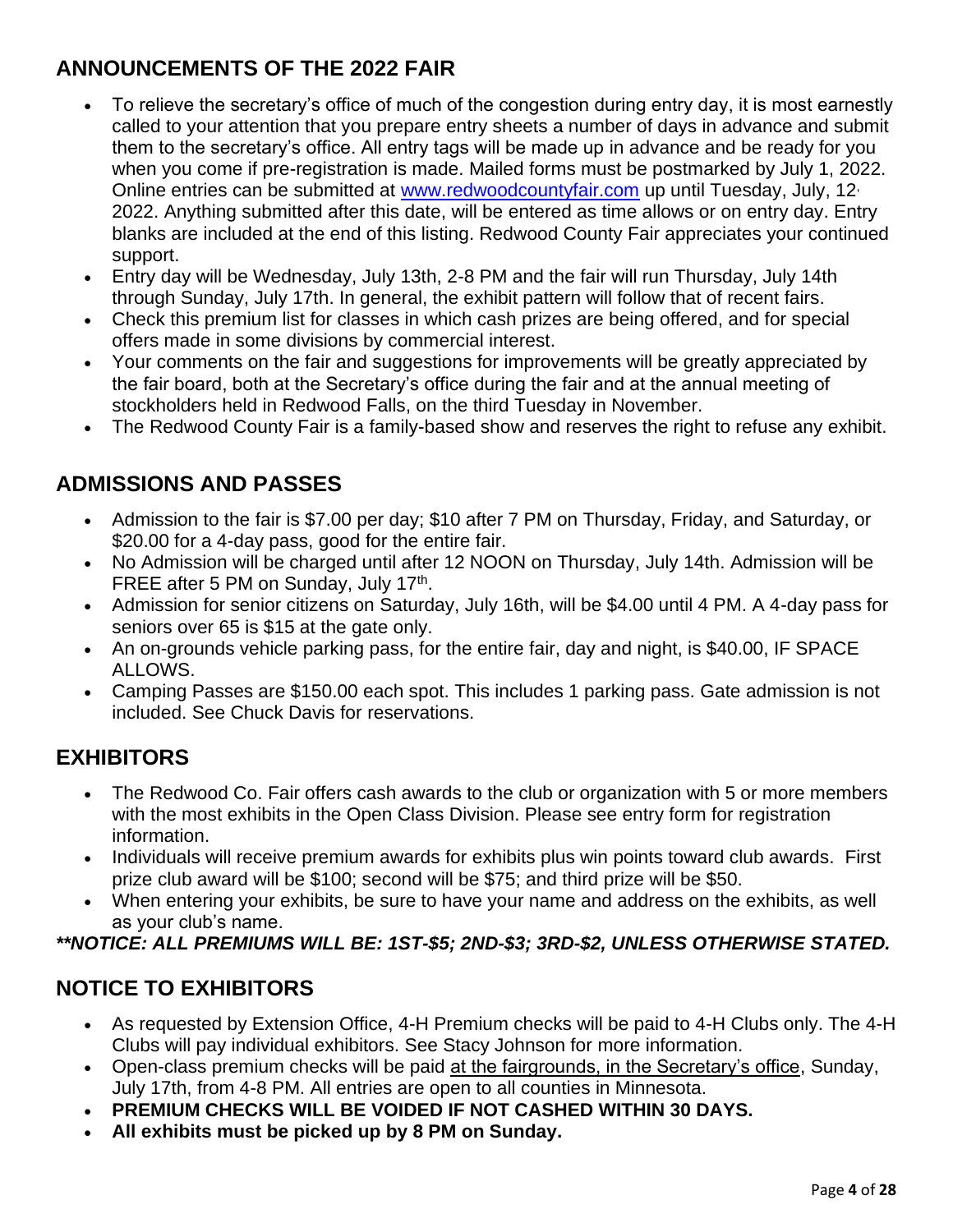# **ANNOUNCEMENTS OF THE 2022 FAIR**

- To relieve the secretary's office of much of the congestion during entry day, it is most earnestly called to your attention that you prepare entry sheets a number of days in advance and submit them to the secretary's office. All entry tags will be made up in advance and be ready for you when you come if pre-registration is made. Mailed forms must be postmarked by July 1, 2022. Online entries can be submitted at [www.redwoodcountyfair.com](http://www.redwoodcountyfair.com/) up until Tuesday, July, 12<sup>,</sup> 2022. Anything submitted after this date, will be entered as time allows or on entry day. Entry blanks are included at the end of this listing. Redwood County Fair appreciates your continued support.
- Entry day will be Wednesday, July 13th, 2-8 PM and the fair will run Thursday, July 14th through Sunday, July 17th. In general, the exhibit pattern will follow that of recent fairs.
- Check this premium list for classes in which cash prizes are being offered, and for special offers made in some divisions by commercial interest.
- Your comments on the fair and suggestions for improvements will be greatly appreciated by the fair board, both at the Secretary's office during the fair and at the annual meeting of stockholders held in Redwood Falls, on the third Tuesday in November.
- The Redwood County Fair is a family-based show and reserves the right to refuse any exhibit.

# **ADMISSIONS AND PASSES**

- Admission to the fair is \$7.00 per day; \$10 after 7 PM on Thursday, Friday, and Saturday, or \$20.00 for a 4-day pass, good for the entire fair.
- No Admission will be charged until after 12 NOON on Thursday, July 14th. Admission will be FREE after 5 PM on Sunday, July 17<sup>th</sup>.
- Admission for senior citizens on Saturday, July 16th, will be \$4.00 until 4 PM. A 4-day pass for seniors over 65 is \$15 at the gate only.
- An on-grounds vehicle parking pass, for the entire fair, day and night, is \$40.00, IF SPACE ALLOWS.
- Camping Passes are \$150.00 each spot. This includes 1 parking pass. Gate admission is not included. See Chuck Davis for reservations.

# **EXHIBITORS**

- The Redwood Co. Fair offers cash awards to the club or organization with 5 or more members with the most exhibits in the Open Class Division. Please see entry form for registration information.
- Individuals will receive premium awards for exhibits plus win points toward club awards. First prize club award will be \$100; second will be \$75; and third prize will be \$50.
- When entering your exhibits, be sure to have your name and address on the exhibits, as well as your club's name.

#### *\*\*NOTICE: ALL PREMIUMS WILL BE: 1ST-\$5; 2ND-\$3; 3RD-\$2, UNLESS OTHERWISE STATED.*

## **NOTICE TO EXHIBITORS**

- As requested by Extension Office, 4-H Premium checks will be paid to 4-H Clubs only. The 4-H Clubs will pay individual exhibitors. See Stacy Johnson for more information.
- Open-class premium checks will be paid at the fairgrounds, in the Secretary's office, Sunday, July 17th, from 4-8 PM. All entries are open to all counties in Minnesota.
- **PREMIUM CHECKS WILL BE VOIDED IF NOT CASHED WITHIN 30 DAYS.**
- **All exhibits must be picked up by 8 PM on Sunday.**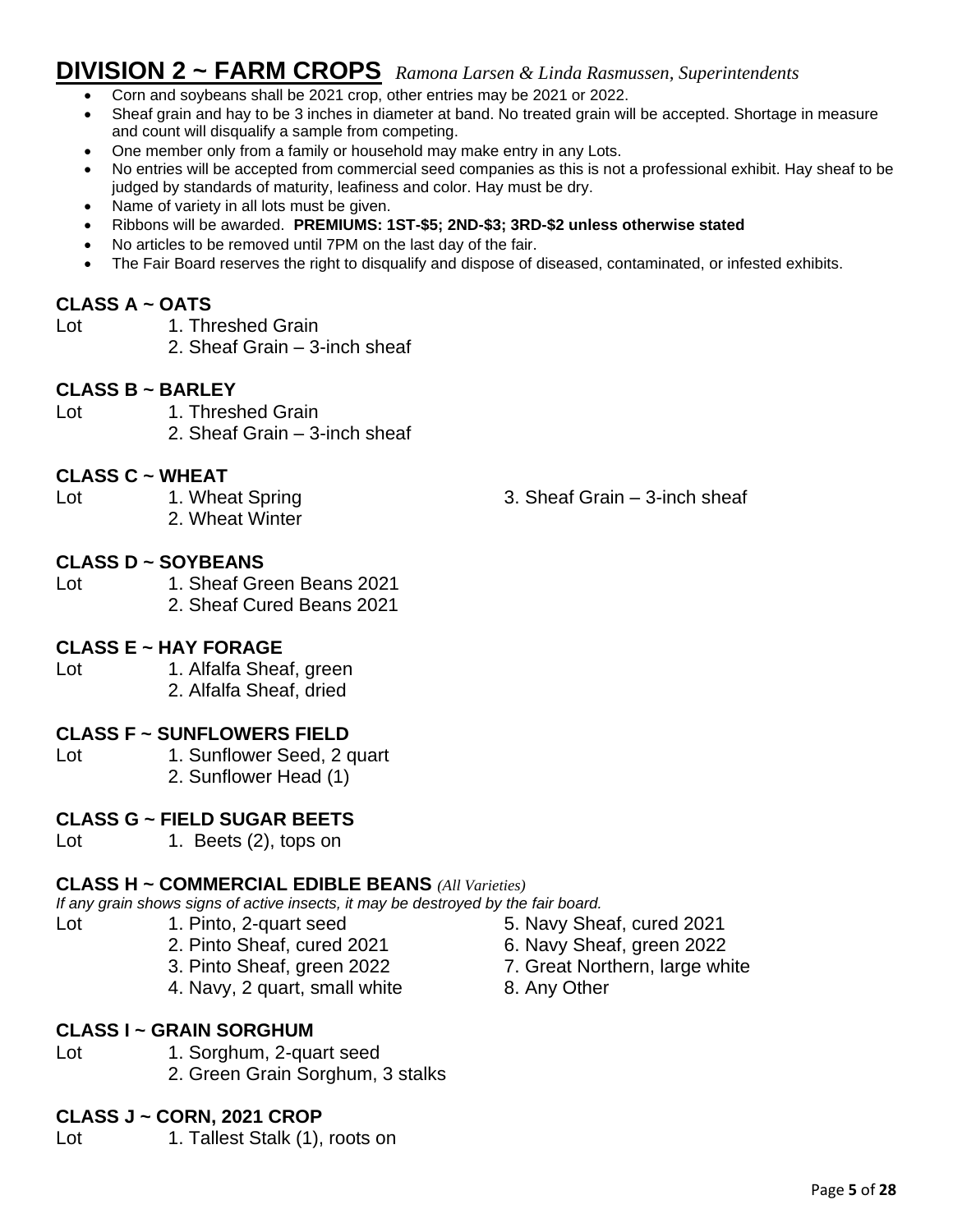# **DIVISION 2 ~ FARM CROPS** *Ramona Larsen & Linda Rasmussen, Superintendents*

- Corn and soybeans shall be 2021 crop, other entries may be 2021 or 2022.
- Sheaf grain and hay to be 3 inches in diameter at band. No treated grain will be accepted. Shortage in measure and count will disqualify a sample from competing.
- One member only from a family or household may make entry in any Lots.
- No entries will be accepted from commercial seed companies as this is not a professional exhibit. Hay sheaf to be judged by standards of maturity, leafiness and color. Hay must be dry.
- Name of variety in all lots must be given.
- Ribbons will be awarded. **PREMIUMS: 1ST-\$5; 2ND-\$3; 3RD-\$2 unless otherwise stated**
- No articles to be removed until 7PM on the last day of the fair.
- The Fair Board reserves the right to disqualify and dispose of diseased, contaminated, or infested exhibits.

#### **CLASS A ~ OATS**

- Lot 1. Threshed Grain
	- 2. Sheaf Grain 3-inch sheaf

#### **CLASS B ~ BARLEY**

Lot 1. Threshed Grain 2. Sheaf Grain – 3-inch sheaf

#### **CLASS C ~ WHEAT**

- Lot 1. Wheat Spring 1. Sheaf Grain 3-inch sheaf
	- 2. Wheat Winter

#### **CLASS D ~ SOYBEANS**

Lot 1. Sheaf Green Beans 2021 2. Sheaf Cured Beans 2021

#### **CLASS E ~ HAY FORAGE**

Lot 1. Alfalfa Sheaf, green

2. Alfalfa Sheaf, dried

#### **CLASS F ~ SUNFLOWERS FIELD**

Lot 1. Sunflower Seed, 2 quart 2. Sunflower Head (1)

#### **CLASS G ~ FIELD SUGAR BEETS**

Lot 1. Beets (2), tops on

#### **CLASS H ~ COMMERCIAL EDIBLE BEANS** *(All Varieties)*

*If any grain shows signs of active insects, it may be destroyed by the fair board.*

- 
- -
	-
	- 4. Navy, 2 quart, small white 8. Any Other

#### **CLASS I ~ GRAIN SORGHUM**

- 
- Lot 1. Sorghum, 2-quart seed
	- 2. Green Grain Sorghum, 3 stalks

#### **CLASS J ~ CORN, 2021 CROP**

Lot 1. Tallest Stalk (1), roots on

- Lot 1. Pinto, 2-quart seed 5. Navy Sheaf, cured 2021
	- 2. Pinto Sheaf, cured 2021 6. Navy Sheaf, green 2022
	- 3. Pinto Sheaf, green 2022 7. Great Northern, large white
		-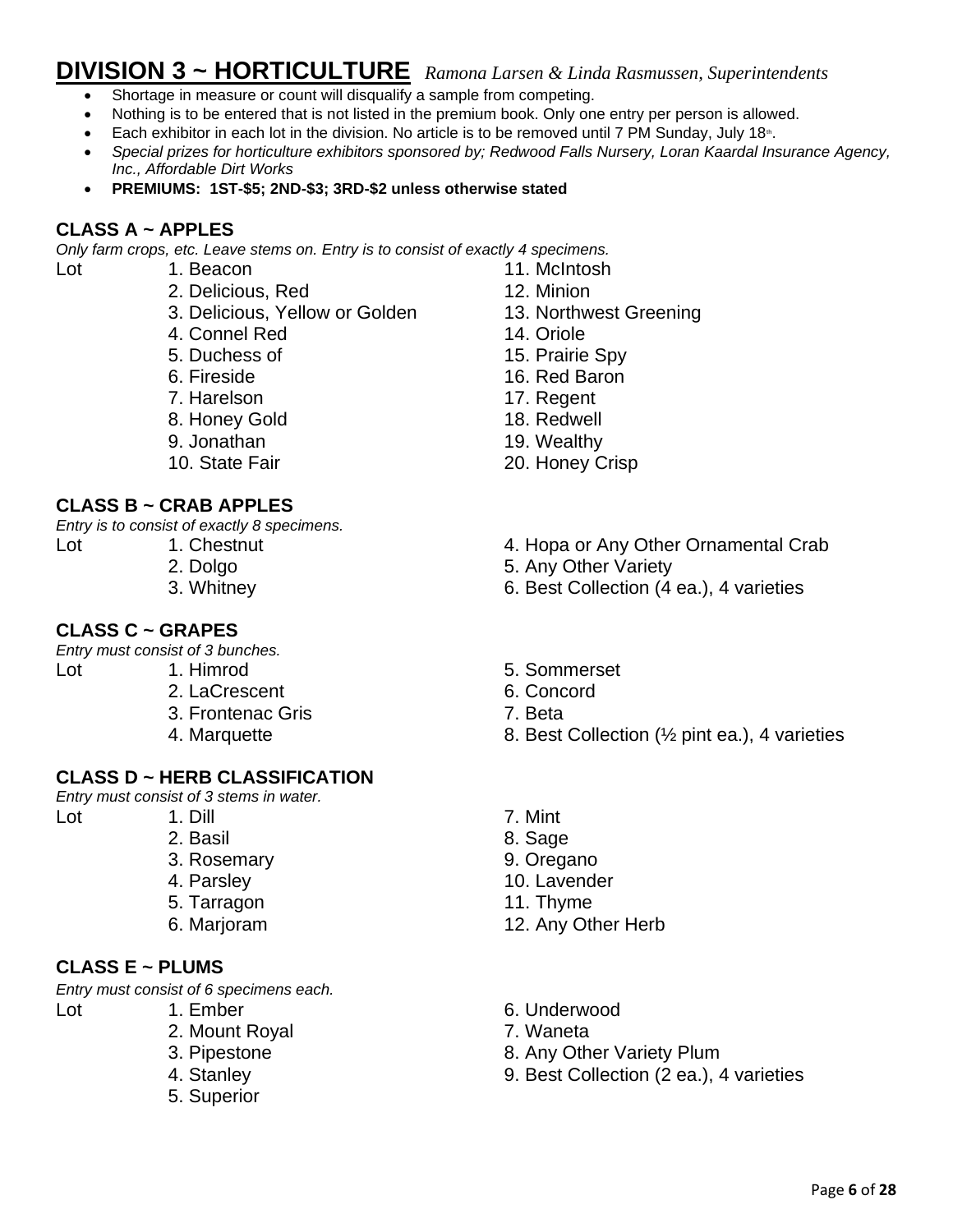# **DIVISION 3 ~ HORTICULTURE** *Ramona Larsen & Linda Rasmussen, Superintendents*

- Shortage in measure or count will disqualify a sample from competing.
- Nothing is to be entered that is not listed in the premium book. Only one entry per person is allowed.
- Each exhibitor in each lot in the division. No article is to be removed until 7 PM Sunday, July 18<sup>th</sup>.
- *Special prizes for horticulture exhibitors sponsored by; Redwood Falls Nursery, Loran Kaardal Insurance Agency, Inc., Affordable Dirt Works*
- **PREMIUMS: 1ST-\$5; 2ND-\$3; 3RD-\$2 unless otherwise stated**

#### **CLASS A ~ APPLES**

*Only farm crops, etc. Leave stems on. Entry is to consist of exactly 4 specimens.*

Lot 1. Beacon 11. McIntosh

- 2. Delicious, Red 12. Minion
- 3. Delicious, Yellow or Golden 13. Northwest Greening
- 4. Connel Red 14. Oriole
- 
- 
- 
- 8. Honey Gold 18. Redwell
- 
- 

#### **CLASS B ~ CRAB APPLES**

*Entry is to consist of exactly 8 specimens.*

- 
- 
- 
- 

#### **CLASS C ~ GRAPES**

*Entry must consist of 3 bunches.*

- 2. LaCrescent 6. Concord
	- 3. Frontenac Gris 7. Beta
	-
	-

#### **CLASS D ~ HERB CLASSIFICATION**

*Entry must consist of 3 stems in water.*

- 
- 
- 
- 
- 
- 

#### **CLASS E ~ PLUMS**

*Entry must consist of 6 specimens each.*

- 
- 
- 2. Mount Royal 2. Mount 2. Waneta
- 
- 
- 5. Superior
- 
- 
- 
- 
- 5. Duchess of 15. Prairie Spy
- 6. Fireside 16. Red Baron
- 7. Harelson 17. Regent
	-
- 9. Jonathan 19. Wealthy
- 10. State Fair 20. Honey Crisp
- Lot 1. Chestnut 1. Chestnut 1. Chestnut 1. Chestnut 1. Chestnut 1. Chestnut 2. Hopa or Any Other Ornamental Crab
	- 2. Dolgo 5. Any Other Variety
	- 3. Whitney 6. Best Collection (4 ea.), 4 varieties
- Lot 1. Himrod 5. Sommerset
	-
	-
	- 4. Marquette **8. Best Collection (**% pint ea.), 4 varieties
- Lot 1. Dill 7. Mint
	- 2. Basil 8. Sage
	- 3. Rosemary 9. Oregano
	- 4. Parsley 10. Lavender
	- 5. Tarragon 11. Thyme
	- 6. Marjoram 12. Any Other Herb
- Lot 1. Ember 6. Underwood
	-
	- 3. Pipestone 8. Any Other Variety Plum
	- 4. Stanley 9. Best Collection (2 ea.), 4 varieties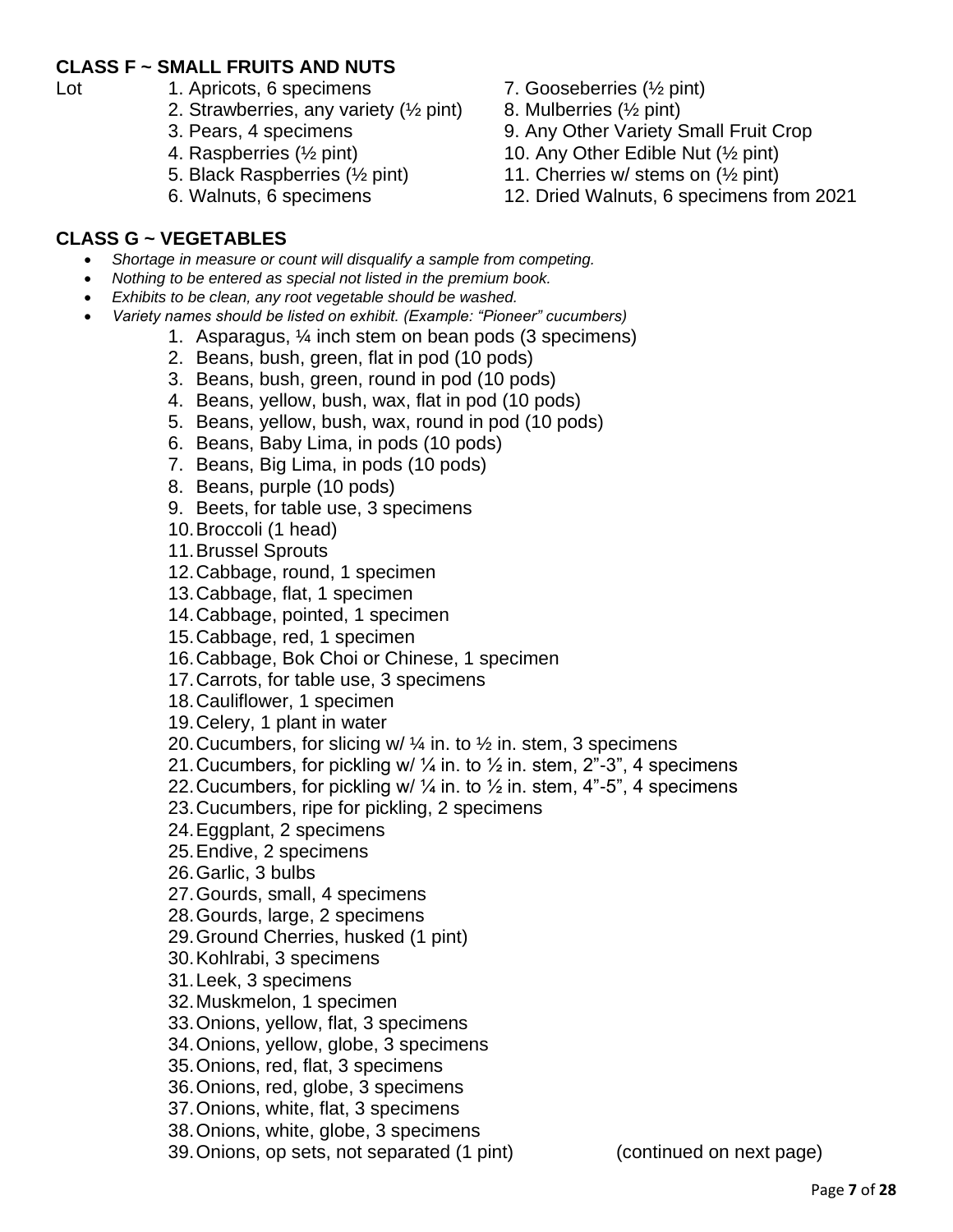#### **CLASS F ~ SMALL FRUITS AND NUTS**

- 
- Lot 1. Apricots, 6 specimens 7. Gooseberries ( $\frac{1}{2}$  pint)
	- 2. Strawberries, any variety  $(\frac{1}{2}$  pint) 8. Mulberries  $(\frac{1}{2}$  pint)
	-
	-
	-
	-
- 
- 
- 3. Pears, 4 specimens 9. Any Other Variety Small Fruit Crop
- 4. Raspberries ( $\frac{1}{2}$  pint) 10. Any Other Edible Nut ( $\frac{1}{2}$  pint)
- 5. Black Raspberries ( $\frac{1}{2}$  pint) 11. Cherries w/ stems on ( $\frac{1}{2}$  pint)
- 6. Walnuts, 6 specimens 12. Dried Walnuts, 6 specimens from 2021

#### **CLASS G ~ VEGETABLES**

- *Shortage in measure or count will disqualify a sample from competing.*
- *Nothing to be entered as special not listed in the premium book.*
- *Exhibits to be clean, any root vegetable should be washed.*
- *Variety names should be listed on exhibit. (Example: "Pioneer" cucumbers)*
	- 1. Asparagus, ¼ inch stem on bean pods (3 specimens)
		- 2. Beans, bush, green, flat in pod (10 pods)
		- 3. Beans, bush, green, round in pod (10 pods)
		- 4. Beans, yellow, bush, wax, flat in pod (10 pods)
		- 5. Beans, yellow, bush, wax, round in pod (10 pods)
		- 6. Beans, Baby Lima, in pods (10 pods)
		- 7. Beans, Big Lima, in pods (10 pods)
		- 8. Beans, purple (10 pods)
		- 9. Beets, for table use, 3 specimens
		- 10.Broccoli (1 head)
		- 11.Brussel Sprouts
		- 12.Cabbage, round, 1 specimen
		- 13.Cabbage, flat, 1 specimen
		- 14.Cabbage, pointed, 1 specimen
		- 15.Cabbage, red, 1 specimen
		- 16.Cabbage, Bok Choi or Chinese, 1 specimen
		- 17.Carrots, for table use, 3 specimens
		- 18.Cauliflower, 1 specimen
		- 19.Celery, 1 plant in water
		- 20. Cucumbers, for slicing w/  $\frac{1}{4}$  in. to  $\frac{1}{2}$  in. stem, 3 specimens
		- 21. Cucumbers, for pickling w/  $\frac{1}{4}$  in. to  $\frac{1}{2}$  in. stem, 2"-3", 4 specimens
		- 22. Cucumbers, for pickling w/  $\frac{1}{4}$  in. to  $\frac{1}{2}$  in. stem, 4"-5", 4 specimens
		- 23.Cucumbers, ripe for pickling, 2 specimens
		- 24.Eggplant, 2 specimens
		- 25.Endive, 2 specimens
		- 26.Garlic, 3 bulbs
		- 27.Gourds, small, 4 specimens
		- 28.Gourds, large, 2 specimens
		- 29.Ground Cherries, husked (1 pint)
		- 30.Kohlrabi, 3 specimens
		- 31.Leek, 3 specimens
		- 32.Muskmelon, 1 specimen
		- 33.Onions, yellow, flat, 3 specimens
		- 34.Onions, yellow, globe, 3 specimens
		- 35.Onions, red, flat, 3 specimens
		- 36.Onions, red, globe, 3 specimens
		- 37.Onions, white, flat, 3 specimens
		- 38.Onions, white, globe, 3 specimens
		- 39.Onions, op sets, not separated (1 pint) (continued on next page)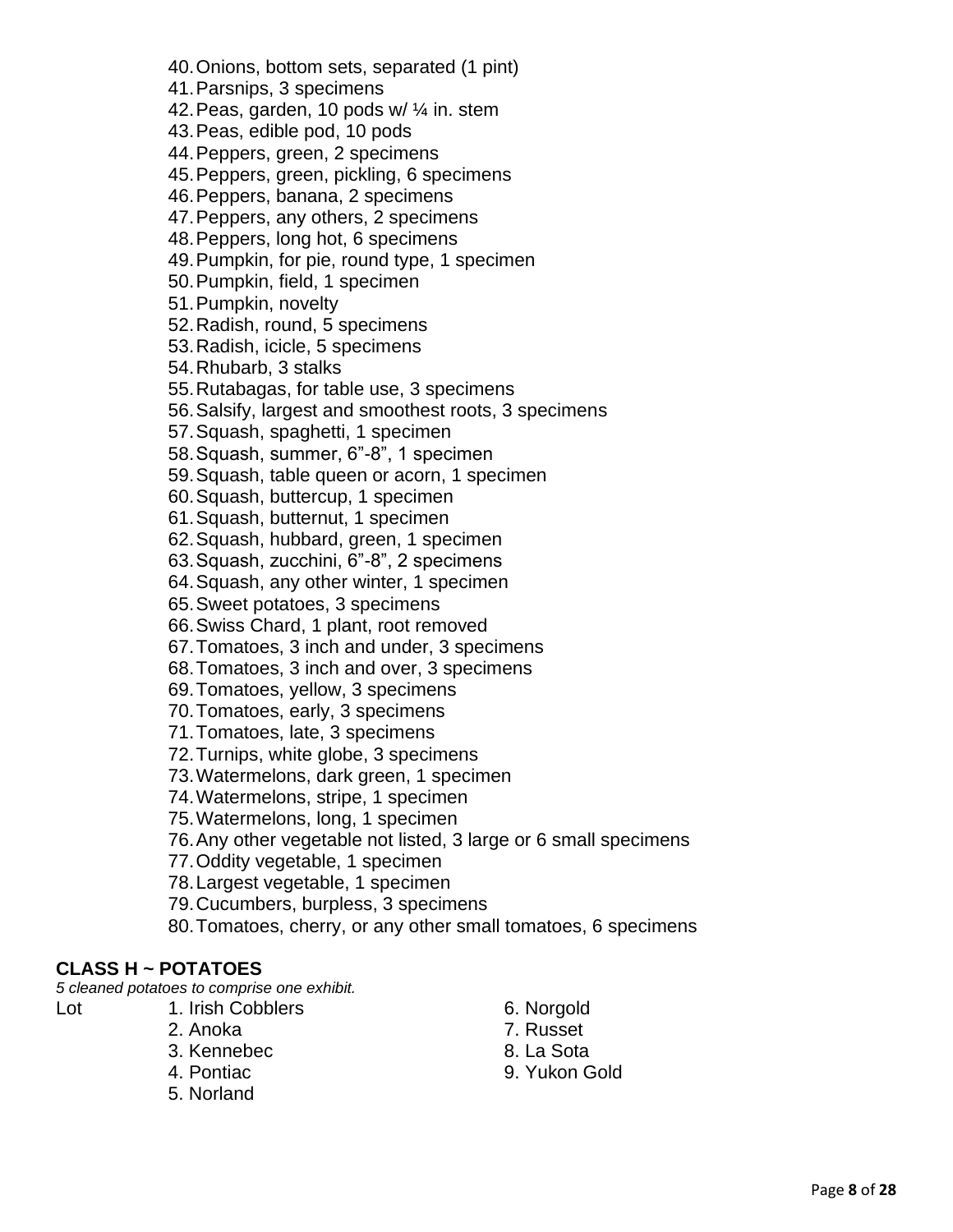#### 40.Onions, bottom sets, separated (1 pint)

41.Parsnips, 3 specimens

42.Peas, garden, 10 pods w/ ¼ in. stem

43.Peas, edible pod, 10 pods

44.Peppers, green, 2 specimens

45.Peppers, green, pickling, 6 specimens

46.Peppers, banana, 2 specimens

47.Peppers, any others, 2 specimens

48.Peppers, long hot, 6 specimens

49.Pumpkin, for pie, round type, 1 specimen

50.Pumpkin, field, 1 specimen

51.Pumpkin, novelty

52.Radish, round, 5 specimens

53.Radish, icicle, 5 specimens

54.Rhubarb, 3 stalks

55.Rutabagas, for table use, 3 specimens

56.Salsify, largest and smoothest roots, 3 specimens

57.Squash, spaghetti, 1 specimen

58.Squash, summer, 6"-8", 1 specimen

59.Squash, table queen or acorn, 1 specimen

60.Squash, buttercup, 1 specimen

61.Squash, butternut, 1 specimen

62.Squash, hubbard, green, 1 specimen

63.Squash, zucchini, 6"-8", 2 specimens

64.Squash, any other winter, 1 specimen

65.Sweet potatoes, 3 specimens

66.Swiss Chard, 1 plant, root removed

67.Tomatoes, 3 inch and under, 3 specimens

68.Tomatoes, 3 inch and over, 3 specimens

69.Tomatoes, yellow, 3 specimens

- 70.Tomatoes, early, 3 specimens
- 71.Tomatoes, late, 3 specimens

72.Turnips, white globe, 3 specimens

73.Watermelons, dark green, 1 specimen

74.Watermelons, stripe, 1 specimen

75.Watermelons, long, 1 specimen

76.Any other vegetable not listed, 3 large or 6 small specimens

77.Oddity vegetable, 1 specimen

78.Largest vegetable, 1 specimen

79.Cucumbers, burpless, 3 specimens

80.Tomatoes, cherry, or any other small tomatoes, 6 specimens

#### **CLASS H ~ POTATOES**

*5 cleaned potatoes to comprise one exhibit.*

- 
- Lot 1. Irish Cobblers 6. Norgold
	-
	-
	-
	- 5. Norland
- 
- 2. Anoka 7. Russet
- 3. Kennebec 8. La Sota
- 4. Pontiac 9. Yukon Gold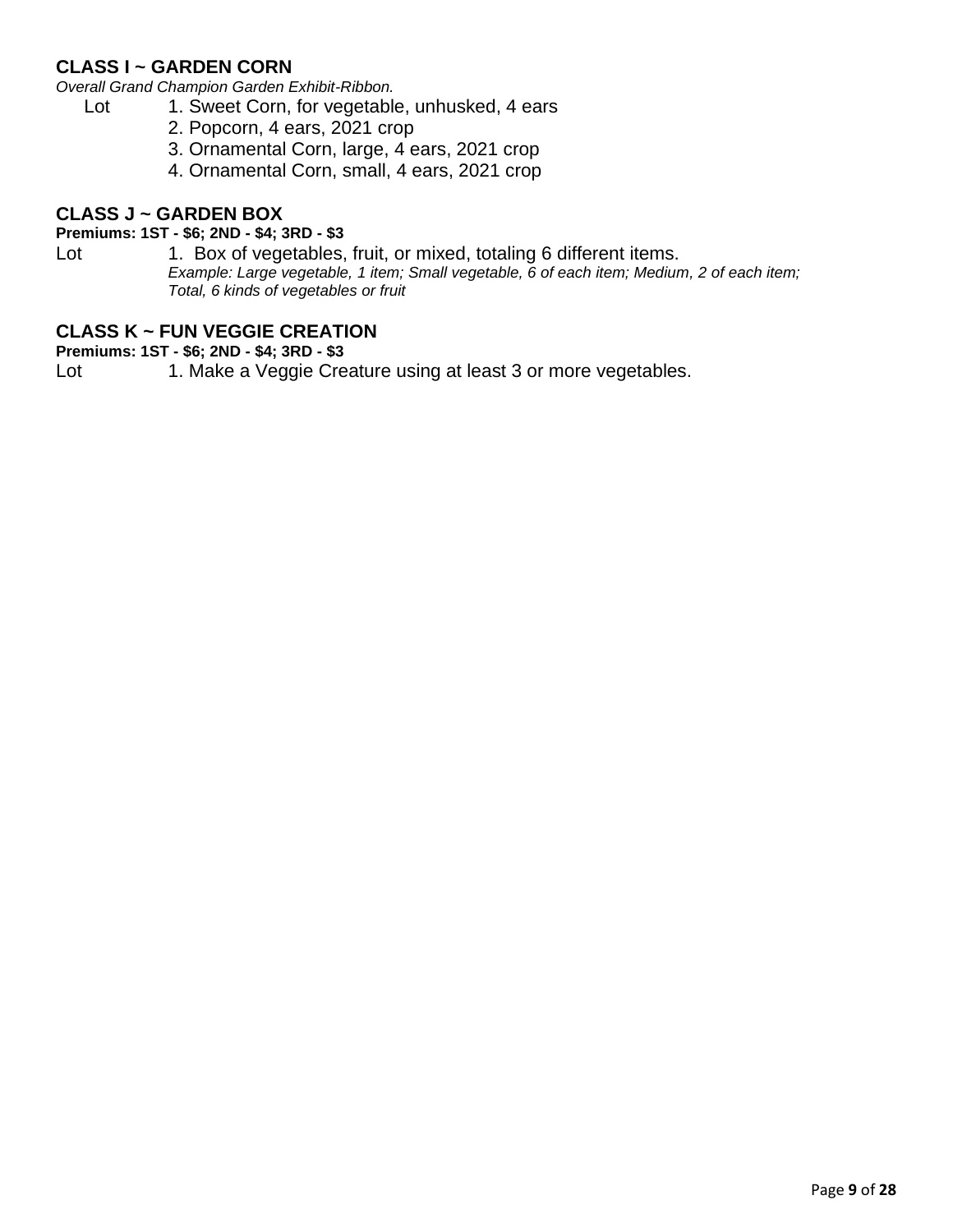#### **CLASS I ~ GARDEN CORN**

*Overall Grand Champion Garden Exhibit-Ribbon.*

- Lot 1. Sweet Corn, for vegetable, unhusked, 4 ears
	- 2. Popcorn, 4 ears, 2021 crop
	- 3. Ornamental Corn, large, 4 ears, 2021 crop
	- 4. Ornamental Corn, small, 4 ears, 2021 crop

#### **CLASS J ~ GARDEN BOX**

#### **Premiums: 1ST - \$6; 2ND - \$4; 3RD - \$3**

Lot 1. Box of vegetables, fruit, or mixed, totaling 6 different items. *Example: Large vegetable, 1 item; Small vegetable, 6 of each item; Medium, 2 of each item; Total, 6 kinds of vegetables or fruit*

#### **CLASS K ~ FUN VEGGIE CREATION**

**Premiums: 1ST - \$6; 2ND - \$4; 3RD - \$3**

Lot 1. Make a Veggie Creature using at least 3 or more vegetables.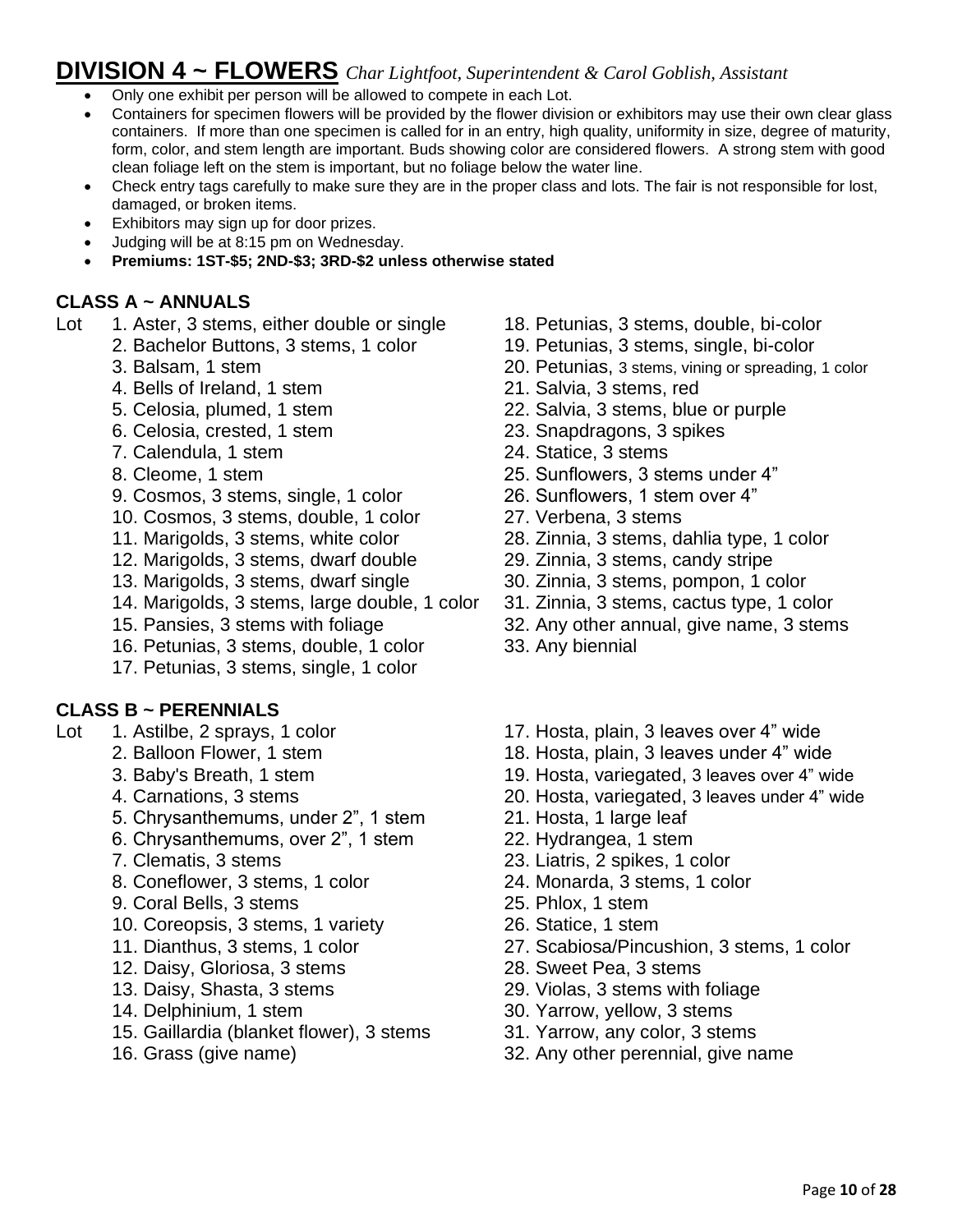# **DIVISION 4 ~ FLOWERS** *Char Lightfoot, Superintendent & Carol Goblish, Assistant*

- Only one exhibit per person will be allowed to compete in each Lot.
- Containers for specimen flowers will be provided by the flower division or exhibitors may use their own clear glass containers. If more than one specimen is called for in an entry, high quality, uniformity in size, degree of maturity, form, color, and stem length are important. Buds showing color are considered flowers. A strong stem with good clean foliage left on the stem is important, but no foliage below the water line.
- Check entry tags carefully to make sure they are in the proper class and lots. The fair is not responsible for lost, damaged, or broken items.
- Exhibitors may sign up for door prizes.
- Judging will be at 8:15 pm on Wednesday.
- **Premiums: 1ST-\$5; 2ND-\$3; 3RD-\$2 unless otherwise stated**

#### **CLASS A ~ ANNUALS**

- Lot 1. Aster, 3 stems, either double or single 18. Petunias, 3 stems, double, bi-color
	- 2. Bachelor Buttons, 3 stems, 1 color 19. Petunias, 3 stems, single, bi-color
		-
		- 4. Bells of Ireland, 1 stem 21. Salvia, 3 stems, red
	-
	- 6. Celosia, crested, 1 stem 23. Snapdragons, 3 spikes
	- 7. Calendula, 1 stem 24. Statice, 3 stems
	-
	- 9. Cosmos, 3 stems, single, 1 color 26. Sunflowers, 1 stem over 4"
	- 10. Cosmos, 3 stems, double, 1 color 27. Verbena, 3 stems
	-
	- 12. Marigolds, 3 stems, dwarf double 29. Zinnia, 3 stems, candy stripe
	-
	- 14. Marigolds, 3 stems, large double, 1 color 31. Zinnia, 3 stems, cactus type, 1 color
	-
	- 16. Petunias, 3 stems, double, 1 color 33. Any biennial
	- 17. Petunias, 3 stems, single, 1 color

#### **CLASS B ~ PERENNIALS**

- -
	-
	-
	- 5. Chrysanthemums, under 2", 1 stem 21. Hosta, 1 large leaf
	- 6. Chrysanthemums, over 2", 1 stem 22. Hydrangea, 1 stem
	-
	- 8. Coneflower, 3 stems, 1 color 24. Monarda, 3 stems, 1 color
	- 9. Coral Bells, 3 stems 25. Phlox, 1 stem
	- 10. Coreopsis, 3 stems, 1 variety 26. Statice, 1 stem
	-
	- 12. Daisy, Gloriosa, 3 stems 28. Sweet Pea, 3 stems
	-
	-
	- 15. Gaillardia (blanket flower), 3 stems 31. Yarrow, any color, 3 stems
	-
- 
- 
- 3. Balsam, 1 stem 20. Petunias, 3 stems, vining or spreading, 1 color
	-
- 5. Celosia, plumed, 1 stem 22. Salvia, 3 stems, blue or purple
	-
	-
- 8. Cleome, 1 stem 25. Sunflowers, 3 stems under 4"
	-
	-
- 11. Marigolds, 3 stems, white color 28. Zinnia, 3 stems, dahlia type, 1 color
	-
- 13. Marigolds, 3 stems, dwarf single 30. Zinnia, 3 stems, pompon, 1 color
	-
- 15. Pansies, 3 stems with foliage 32. Any other annual, give name, 3 stems
	-
- Lot 1. Astilbe, 2 sprays, 1 color 17. Hosta, plain, 3 leaves over 4" wide
	- 2. Balloon Flower, 1 stem 18. Hosta, plain, 3 leaves under 4" wide
	- 3. Baby's Breath, 1 stem 19. Hosta, variegated, 3 leaves over 4" wide
	- 4. Carnations, 3 stems 20. Hosta, variegated, 3 leaves under 4" wide
		-
		-
	- 7. Clematis, 3 stems 23. Liatris, 2 spikes, 1 color
		-
		-
		-
	- 11. Dianthus, 3 stems, 1 color 27. Scabiosa/Pincushion, 3 stems, 1 color
		-
	- 13. Daisy, Shasta, 3 stems 29. Violas, 3 stems with foliage
	- 14. Delphinium, 1 stem  $30.$  Yarrow, yellow, 3 stems
		-
	- 16. Grass (give name) 32. Any other perennial, give name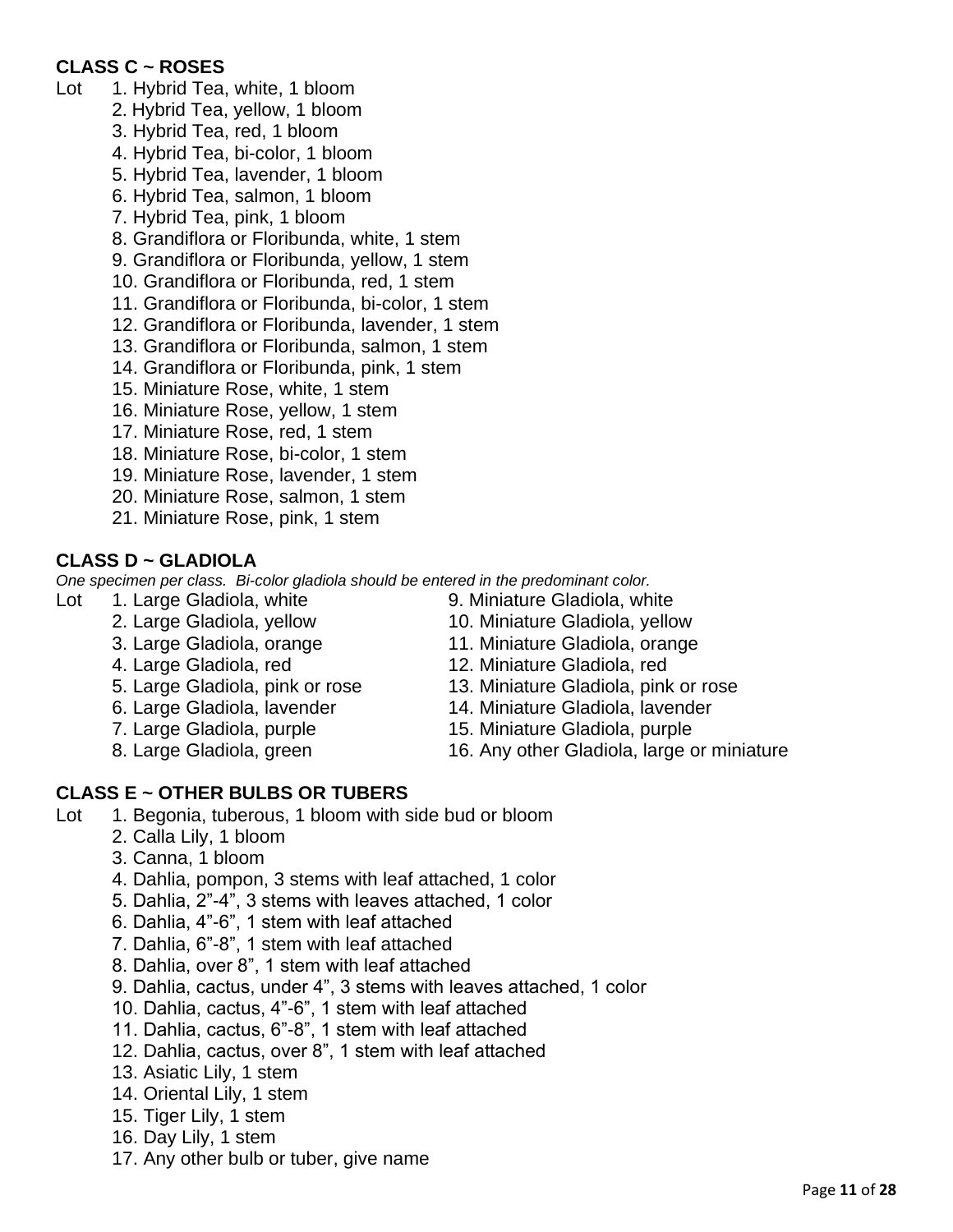#### **CLASS C ~ ROSES**

- Lot 1. Hybrid Tea, white, 1 bloom
	- 2. Hybrid Tea, yellow, 1 bloom
	- 3. Hybrid Tea, red, 1 bloom
	- 4. Hybrid Tea, bi-color, 1 bloom
	- 5. Hybrid Tea, lavender, 1 bloom
	- 6. Hybrid Tea, salmon, 1 bloom
	- 7. Hybrid Tea, pink, 1 bloom
	- 8. Grandiflora or Floribunda, white, 1 stem
	- 9. Grandiflora or Floribunda, yellow, 1 stem
	- 10. Grandiflora or Floribunda, red, 1 stem
	- 11. Grandiflora or Floribunda, bi-color, 1 stem
	- 12. Grandiflora or Floribunda, lavender, 1 stem
	- 13. Grandiflora or Floribunda, salmon, 1 stem
	- 14. Grandiflora or Floribunda, pink, 1 stem
	- 15. Miniature Rose, white, 1 stem
	- 16. Miniature Rose, yellow, 1 stem
	- 17. Miniature Rose, red, 1 stem
	- 18. Miniature Rose, bi-color, 1 stem
	- 19. Miniature Rose, lavender, 1 stem
	- 20. Miniature Rose, salmon, 1 stem
	- 21. Miniature Rose, pink, 1 stem

#### **CLASS D ~ GLADIOLA**

*One specimen per class. Bi-color gladiola should be entered in the predominant color.*

- -
	-
	-
	-
	-
	-
	-
- Lot 1. Large Gladiola, white 9. Miniature Gladiola, white
	- 2. Large Gladiola, yellow 10. Miniature Gladiola, yellow
	- 3. Large Gladiola, orange 11. Miniature Gladiola, orange
	- 4. Large Gladiola, red 12. Miniature Gladiola, red
	- 5. Large Gladiola, pink or rose 13. Miniature Gladiola, pink or rose
	- 6. Large Gladiola, lavender 14. Miniature Gladiola, lavender
	- 7. Large Gladiola, purple 15. Miniature Gladiola, purple
	- 8. Large Gladiola, green 16. Any other Gladiola, large or miniature

#### **CLASS E ~ OTHER BULBS OR TUBERS**

- Lot 1. Begonia, tuberous, 1 bloom with side bud or bloom
	- 2. Calla Lily, 1 bloom
	- 3. Canna, 1 bloom
	- 4. Dahlia, pompon, 3 stems with leaf attached, 1 color
	- 5. Dahlia, 2"-4", 3 stems with leaves attached, 1 color
	- 6. Dahlia, 4"-6", 1 stem with leaf attached
	- 7. Dahlia, 6"-8", 1 stem with leaf attached
	- 8. Dahlia, over 8", 1 stem with leaf attached
	- 9. Dahlia, cactus, under 4", 3 stems with leaves attached, 1 color
	- 10. Dahlia, cactus, 4"-6", 1 stem with leaf attached
	- 11. Dahlia, cactus, 6"-8", 1 stem with leaf attached
	- 12. Dahlia, cactus, over 8", 1 stem with leaf attached
	- 13. Asiatic Lily, 1 stem
	- 14. Oriental Lily, 1 stem
	- 15. Tiger Lily, 1 stem
	- 16. Day Lily, 1 stem
	- 17. Any other bulb or tuber, give name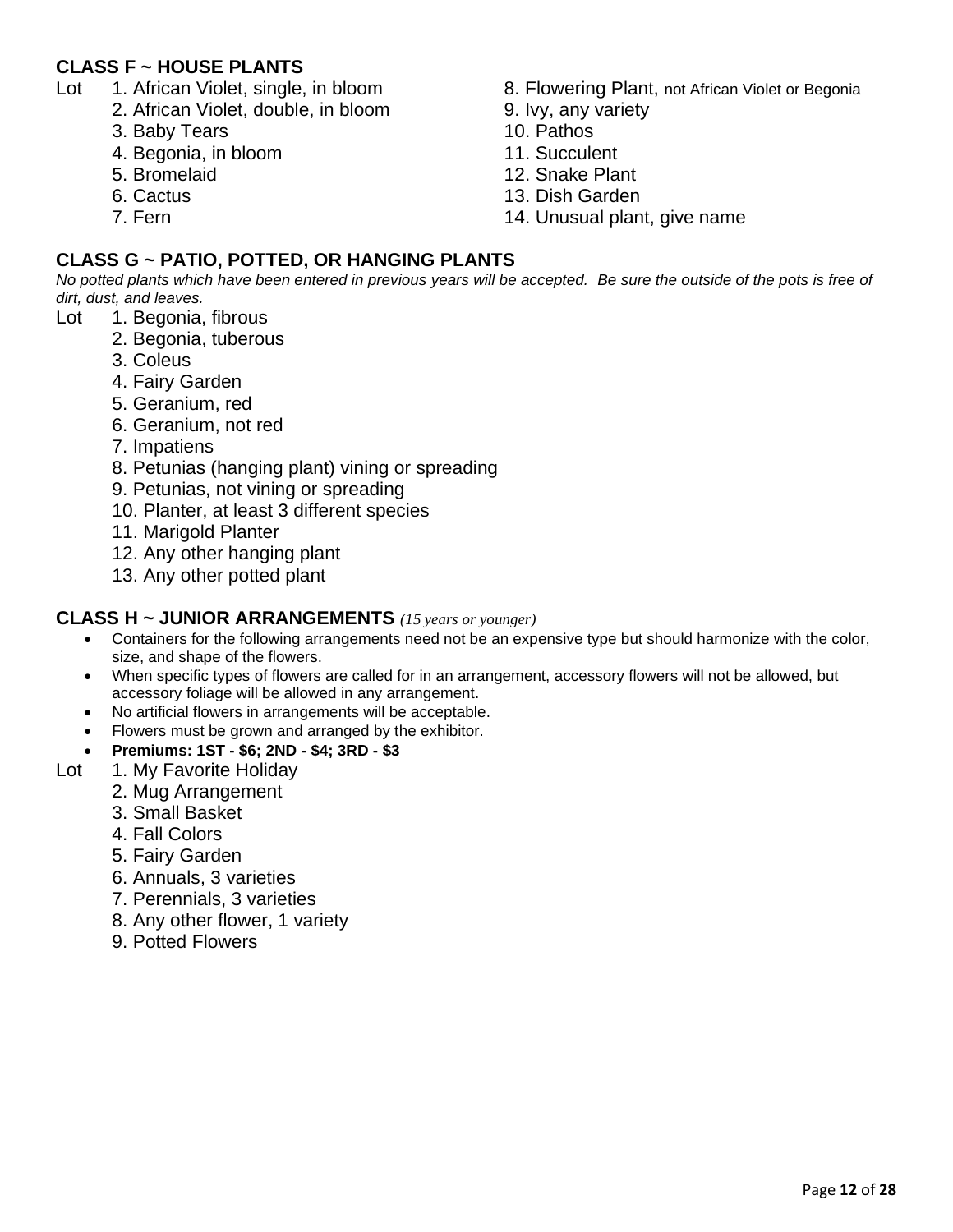#### **CLASS F ~ HOUSE PLANTS**

- - 2. African Violet, double, in bloom 9. Ivy, any variety
	- 3. Baby Tears 10. Pathos
	- 4. Begonia, in bloom 11. Succulent
	- 5. Bromelaid 12. Snake Plant
	-
	-
- Lot 1. African Violet, single, in bloom 8. Flowering Plant, not African Violet or Begonia
	-
	-
	-
	-
	- 6. Cactus 13. Dish Garden
	- 7. Fern 2008 and 2009 and 2008 and 2011 and 2018 and 2019 and 2019 and 2019 and 2019 and 2019 and 2019 and 201

#### **CLASS G ~ PATIO, POTTED, OR HANGING PLANTS**

*No potted plants which have been entered in previous years will be accepted. Be sure the outside of the pots is free of dirt, dust, and leaves.*

- Lot 1. Begonia, fibrous
	- 2. Begonia, tuberous
	- 3. Coleus
	- 4. Fairy Garden
	- 5. Geranium, red
	- 6. Geranium, not red
	- 7. Impatiens
	- 8. Petunias (hanging plant) vining or spreading
	- 9. Petunias, not vining or spreading
	- 10. Planter, at least 3 different species
	- 11. Marigold Planter
	- 12. Any other hanging plant
	- 13. Any other potted plant

#### **CLASS H ~ JUNIOR ARRANGEMENTS** *(15 years or younger)*

- Containers for the following arrangements need not be an expensive type but should harmonize with the color, size, and shape of the flowers.
- When specific types of flowers are called for in an arrangement, accessory flowers will not be allowed, but accessory foliage will be allowed in any arrangement.
- No artificial flowers in arrangements will be acceptable.
- Flowers must be grown and arranged by the exhibitor.
- **Premiums: 1ST - \$6; 2ND - \$4; 3RD - \$3**
- Lot 1. My Favorite Holiday
	- 2. Mug Arrangement
	- 3. Small Basket
	- 4. Fall Colors
	- 5. Fairy Garden
	- 6. Annuals, 3 varieties
	- 7. Perennials, 3 varieties
	- 8. Any other flower, 1 variety
	- 9. Potted Flowers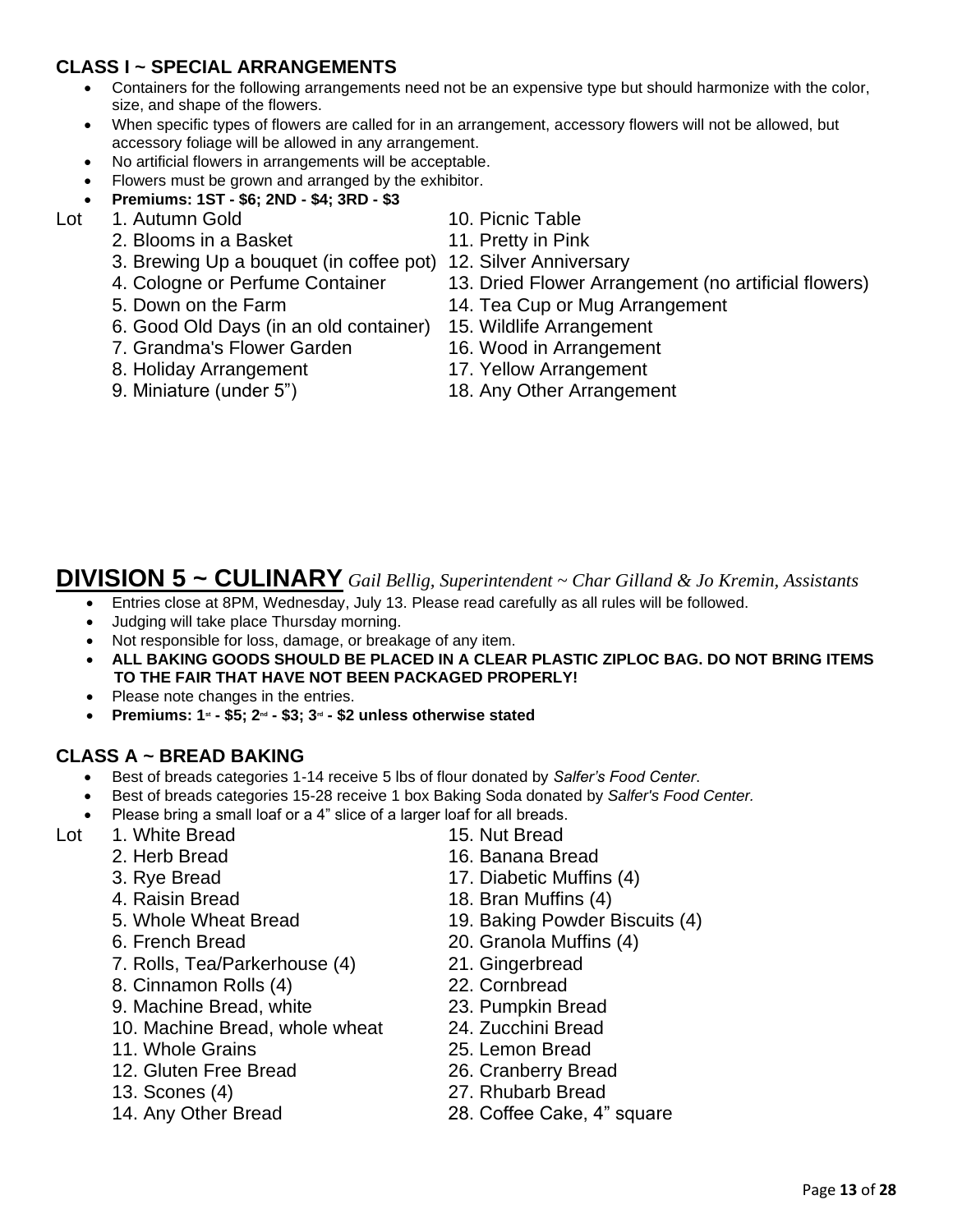#### **CLASS I ~ SPECIAL ARRANGEMENTS**

- Containers for the following arrangements need not be an expensive type but should harmonize with the color, size, and shape of the flowers.
- When specific types of flowers are called for in an arrangement, accessory flowers will not be allowed, but accessory foliage will be allowed in any arrangement.
- No artificial flowers in arrangements will be acceptable.
- Flowers must be grown and arranged by the exhibitor.
- **Premiums: 1ST - \$6; 2ND - \$4; 3RD - \$3**
- Lot 1. Autumn Gold 10. Picnic Table
	- 2. Blooms in a Basket 11. Pretty in Pink
		- 3. Brewing Up a bouquet (in coffee pot) 12. Silver Anniversary
		-
		-
		- 6. Good Old Days (in an old container) 15. Wildlife Arrangement
		- 7. Grandma's Flower Garden 16. Wood in Arrangement
		- 8. Holiday Arrangement 17. Yellow Arrangement
		-
- 
- 
- 
- 4. Cologne or Perfume Container 13. Dried Flower Arrangement (no artificial flowers)
- 5. Down on the Farm 14. Tea Cup or Mug Arrangement
	-
	-
	-
- 9. Miniature (under 5") 18. Any Other Arrangement

# **DIVISION 5 ~ CULINARY** *Gail Bellig, Superintendent ~ Char Gilland & Jo Kremin, Assistants*

- Entries close at 8PM, Wednesday, July 13. Please read carefully as all rules will be followed.
- Judging will take place Thursday morning.
- Not responsible for loss, damage, or breakage of any item.
- **ALL BAKING GOODS SHOULD BE PLACED IN A CLEAR PLASTIC ZIPLOC BAG. DO NOT BRING ITEMS TO THE FAIR THAT HAVE NOT BEEN PACKAGED PROPERLY!**
- Please note changes in the entries.
- **Premiums: 1st - \$5; 2nd - \$3; 3rd - \$2 unless otherwise stated**

#### **CLASS A ~ BREAD BAKING**

- Best of breads categories 1-14 receive 5 lbs of flour donated by *Salfer's Food Center*.
- Best of breads categories 15-28 receive 1 box Baking Soda donated by *Salfer's Food Center.*
- Please bring a small loaf or a 4" slice of a larger loaf for all breads.
- Lot 1. White Bread 15. Nut Bread
	-
	-
	-
	-
	-
	- 7. Rolls, Tea/Parkerhouse (4) 21. Gingerbread
	- 8. Cinnamon Rolls (4) 22. Cornbread
	- 9. Machine Bread, white 23. Pumpkin Bread
	- 10. Machine Bread, whole wheat 24. Zucchini Bread
	- 11. Whole Grains 25. Lemon Bread
	- 12. Gluten Free Bread 26. Cranberry Bread
	-
	-
- 
- 2. Herb Bread 16. Banana Bread
- 3. Rye Bread 17. Diabetic Muffins (4)
- 4. Raisin Bread 18. Bran Muffins (4)
- 5. Whole Wheat Bread 19. Baking Powder Biscuits (4)
- 6. French Bread 20. Granola Muffins (4)
	-
	-
	-
	-
	-
	-
- 13. Scones (4) 27. Rhubarb Bread
- 14. Any Other Bread 28. Coffee Cake, 4" square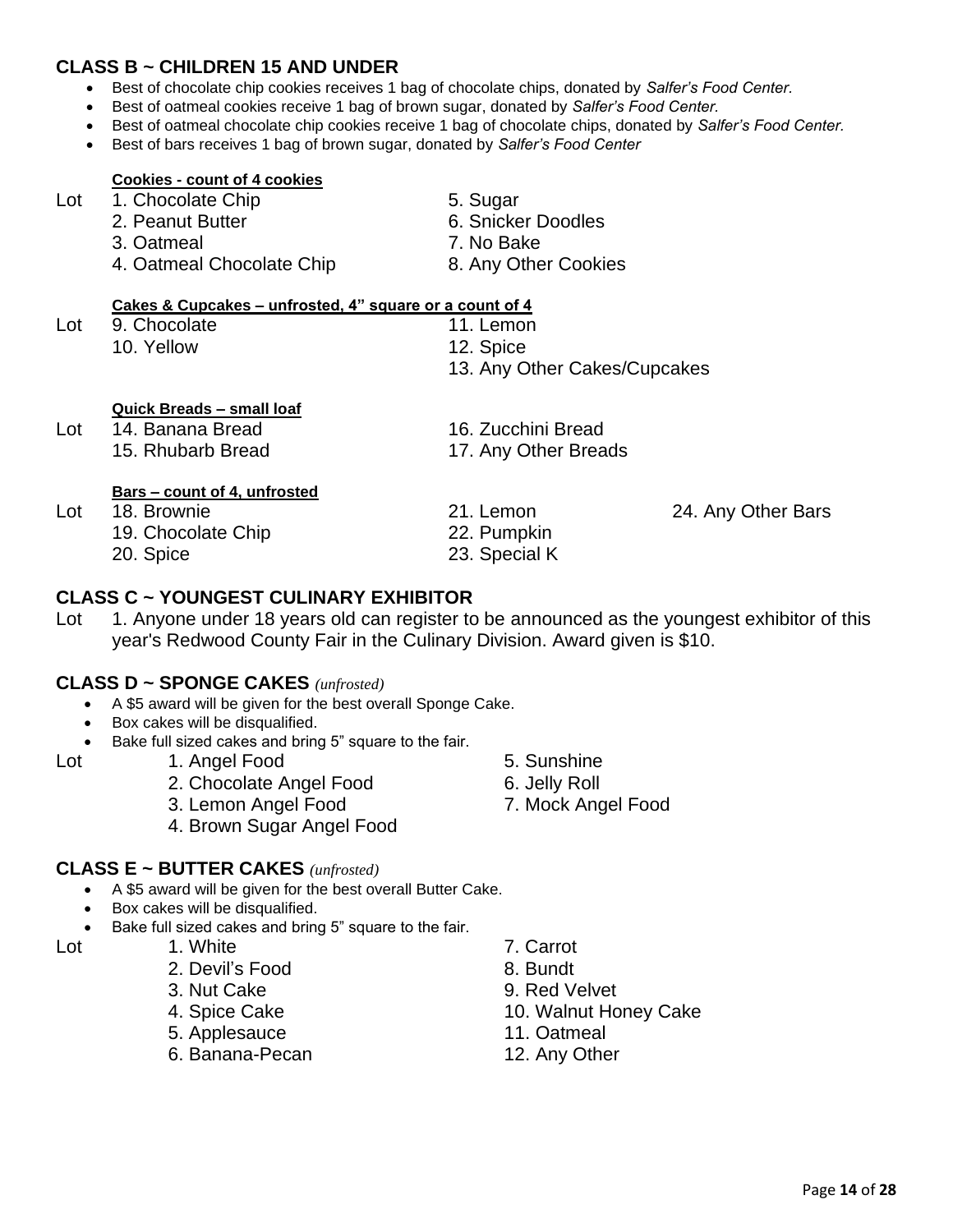#### **CLASS B ~ CHILDREN 15 AND UNDER**

- Best of chocolate chip cookies receives 1 bag of chocolate chips, donated by *Salfer's Food Center.*
- Best of oatmeal cookies receive 1 bag of brown sugar, donated by *Salfer's Food Center.*
- Best of oatmeal chocolate chip cookies receive 1 bag of chocolate chips, donated by *Salfer's Food Center.*
- Best of bars receives 1 bag of brown sugar, donated by *Salfer's Food Center*

#### **Cookies - count of 4 cookies**

- Lot 1. Chocolate Chip 5. Sugar
	- 2. Peanut Butter **6. Snicker Doodles**
	- 3. Oatmeal 7. No Bake
	- 4. Oatmeal Chocolate Chip 8. Any Other Cookies

## **Cakes & Cupcakes – unfrosted, 4" square or a count of 4**

- -

- 
- 13. Any Other Cakes/Cupcakes

#### **Quick Breads – small loaf**

- Lot 14. Banana Bread 16. Zucchini Bread
	- 15. Rhubarb Bread 17. Any Other Breads

#### **Bars – count of 4, unfrosted**

- - 19. Chocolate Chip 22. Pumpkin
	-
- 
- 
- 
- 20. Spice 23. Special K

#### **CLASS C ~ YOUNGEST CULINARY EXHIBITOR**

Lot 1. Anyone under 18 years old can register to be announced as the youngest exhibitor of this year's Redwood County Fair in the Culinary Division. Award given is \$10.

#### **CLASS D ~ SPONGE CAKES** *(unfrosted)*

- A \$5 award will be given for the best overall Sponge Cake.
- Box cakes will be disqualified.
- Bake full sized cakes and bring 5" square to the fair.

- Lot 1. Angel Food 5. Sunshine
	- 2. Chocolate Angel Food 6. Jelly Roll
	- 3. Lemon Angel Food 7. Mock Angel Food
	- 4. Brown Sugar Angel Food

#### **CLASS E ~ BUTTER CAKES** *(unfrosted)*

- A \$5 award will be given for the best overall Butter Cake.
- Box cakes will be disqualified.
- Bake full sized cakes and bring 5" square to the fair.
- 
- 2. Devil's Food 8. Bundt
	-
	-
	- 5. Applesauce 11. Oatmeal
	- 6. Banana-Pecan 12. Any Other
- Lot 1. White 7. Carrot
	-
	- 3. Nut Cake 9. Red Velvet
	- 4. Spice Cake 10. Walnut Honey Cake
		-
		-

- -
- Lot 18. Brownie 21. Lemon 20. Lemon 24. Any Other Bars
	-
- 
- 
- Lot 9. Chocolate 11. Lemon 10. Yellow 12. Spice
-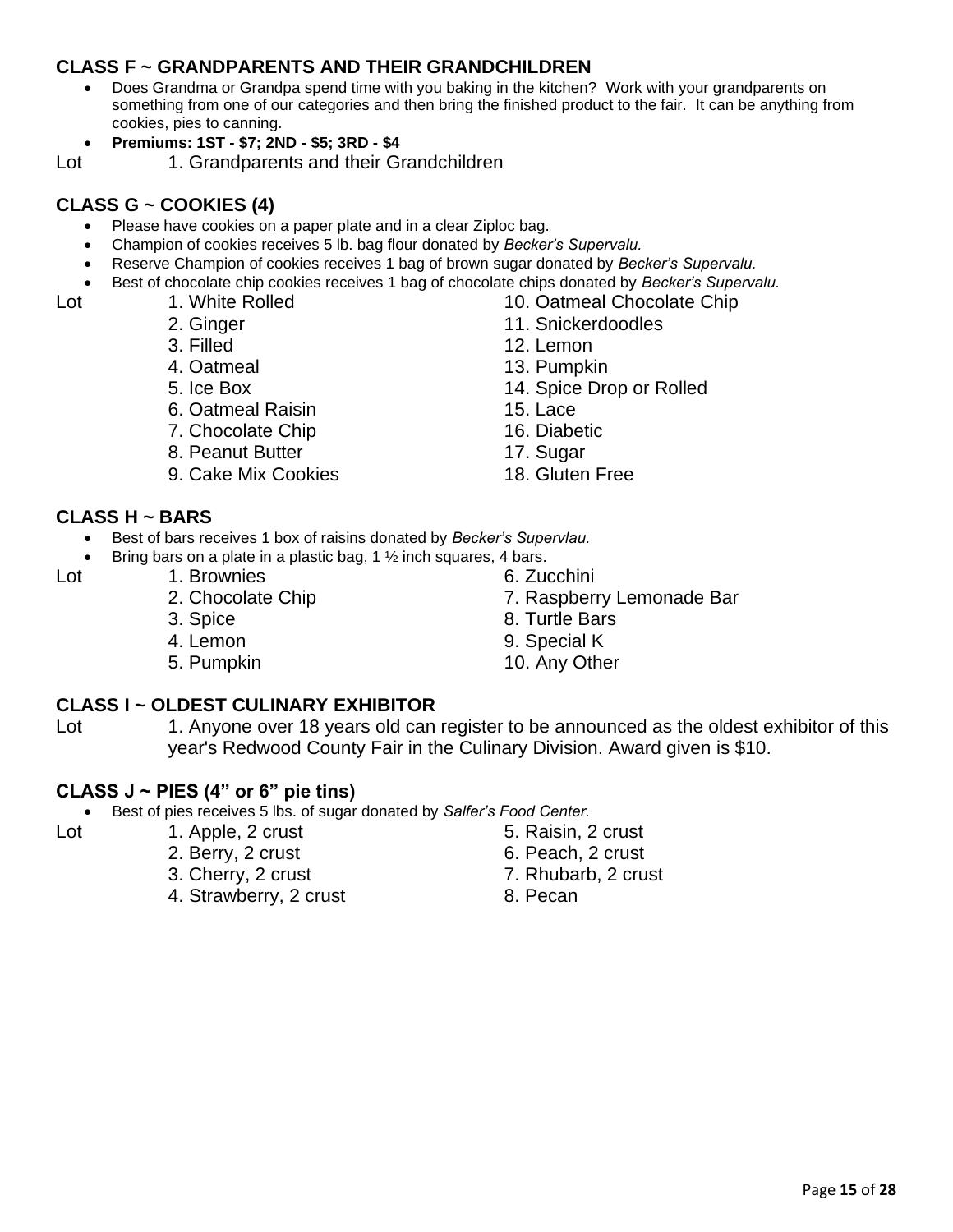#### **CLASS F ~ GRANDPARENTS AND THEIR GRANDCHILDREN**

- Does Grandma or Grandpa spend time with you baking in the kitchen? Work with your grandparents on something from one of our categories and then bring the finished product to the fair. It can be anything from cookies, pies to canning.
- **Premiums: 1ST - \$7; 2ND - \$5; 3RD - \$4**

Lot 1. Grandparents and their Grandchildren

#### **CLASS G ~ COOKIES (4)**

- Please have cookies on a paper plate and in a clear Ziploc bag.
- Champion of cookies receives 5 lb. bag flour donated by *Becker's Supervalu.*
- Reserve Champion of cookies receives 1 bag of brown sugar donated by *Becker's Supervalu.*
- Best of chocolate chip cookies receives 1 bag of chocolate chips donated by *Becker's Supervalu.*

- Lot 1. White Rolled 10. Oatmeal Chocolate Chip
	- 2. Ginger 11. Snickerdoodles
	- 3. Filled 12. Lemon
	- 4. Oatmeal 13. Pumpkin
	- 5. Ice Box 14. Spice Drop or Rolled
	- 6. Oatmeal Raisin 15. Lace
	- 7. Chocolate Chip 16. Diabetic
	- 8. Peanut Butter 17. Sugar
	- 9. Cake Mix Cookies 18. Gluten Free
- **CLASS H ~ BARS**
	- Best of bars receives 1 box of raisins donated by *Becker's Supervlau.*
	- Bring bars on a plate in a plastic bag, 1  $\frac{1}{2}$  inch squares, 4 bars.

- 
- 
- 
- 
- Lot 1. Brownies 6. Zucchini
	- 2. Chocolate Chip 7. Raspberry Lemonade Bar
	- 3. Spice 8. Turtle Bars
	- 4. Lemon 9. Special K
	- 5. Pumpkin 10. Any Other

#### **CLASS I ~ OLDEST CULINARY EXHIBITOR**

Lot 1. Anyone over 18 years old can register to be announced as the oldest exhibitor of this year's Redwood County Fair in the Culinary Division. Award given is \$10.

#### **CLASS J ~ PIES (4" or 6" pie tins)**

• Best of pies receives 5 lbs. of sugar donated by *Salfer's Food Center.*

- Lot 1. Apple, 2 crust 5. Raisin, 2 crust
	- 2. Berry, 2 crust 6. Peach, 2 crust
	- 3. Cherry, 2 crust 7. Rhubarb, 2 crust
	- 4. Strawberry, 2 crust 8. Pecan
- -
	-
	- -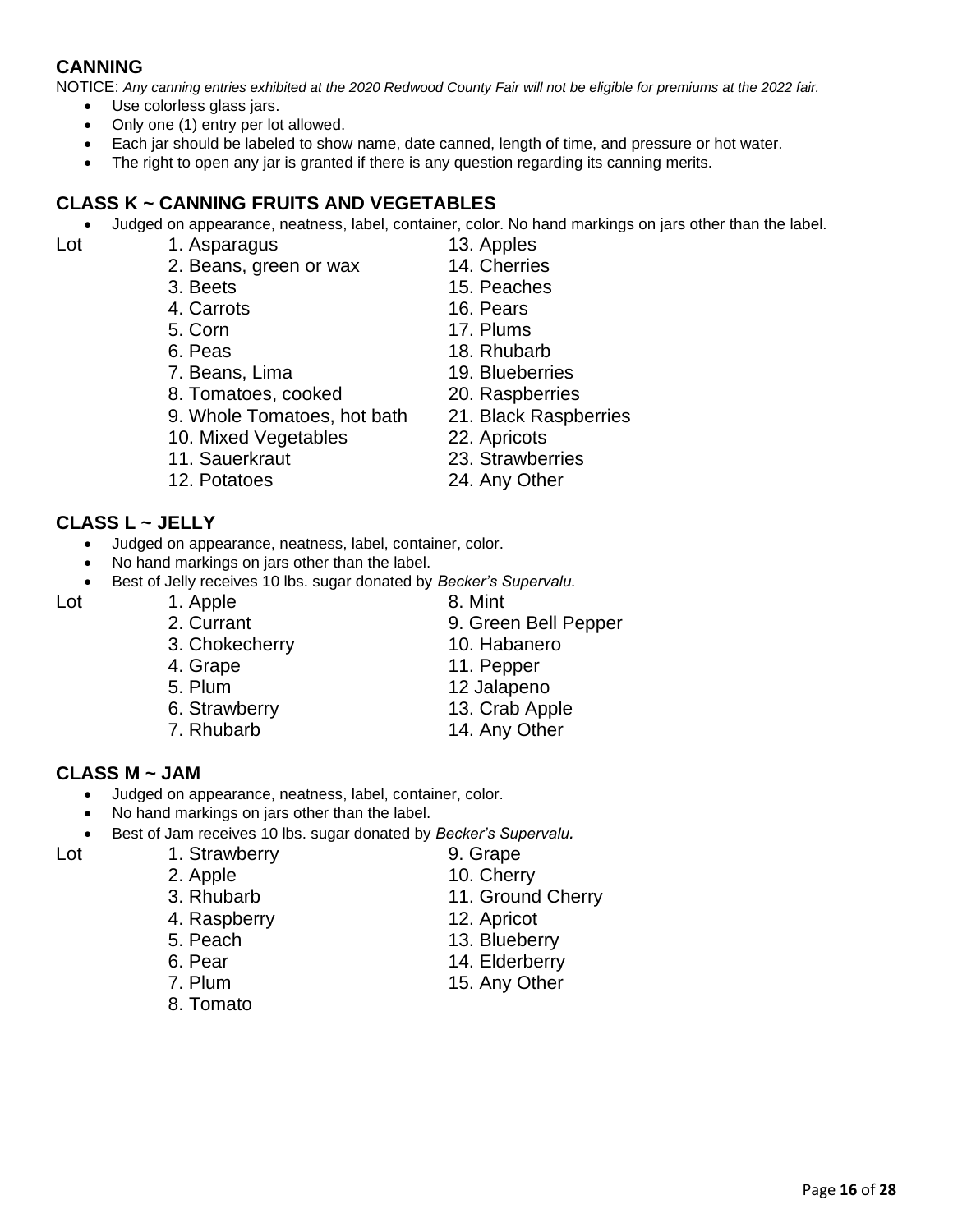#### **CANNING**

NOTICE: *Any canning entries exhibited at the 2020 Redwood County Fair will not be eligible for premiums at the 2022 fair.*

- Use colorless glass jars.
- Only one (1) entry per lot allowed.
- Each jar should be labeled to show name, date canned, length of time, and pressure or hot water.
- The right to open any jar is granted if there is any question regarding its canning merits.

#### **CLASS K ~ CANNING FRUITS AND VEGETABLES**

• Judged on appearance, neatness, label, container, color. No hand markings on jars other than the label.

Lot 1. Asparagus 13. Apples

- 2. Beans, green or wax 14. Cherries
- 3. Beets 15. Peaches
- 
- 
- 
- 
- 8. Tomatoes, cooked 20. Raspberries
- 9. Whole Tomatoes, hot bath 21. Black Raspberries
- 
- 
- 
- **CLASS L ~ JELLY**
	- Judged on appearance, neatness, label, container, color.
	- No hand markings on jars other than the label.
	- Best of Jelly receives 10 lbs. sugar donated by *Becker's Supervalu.*

- 
- 
- 
- 
- 
- **CLASS M ~ JAM**
	- Judged on appearance, neatness, label, container, color.
	- No hand markings on jars other than the label.
	- Best of Jam receives 10 lbs. sugar donated by *Becker's Supervalu.*

- Lot 1. Strawberry 1. Strawberry 1. Strape
	-
	-
	-
	-
	-
	-
	- 8. Tomato
	- 2. Apple 10. Cherry
	- 3. Rhubarb 11. Ground Cherry
	- 4. Raspberry 12. Apricot
	- 5. Peach 13. Blueberry
	- 6. Pear 14. Elderberry
	- 7. Plum 15. Any Other
- 10. Mixed Vegetables 22. Apricots 11. Sauerkraut 23. Strawberries 12. Potatoes 24. Any Other
- 4. Carrots 16. Pears 5. Corn 17. Plums
- 6. Peas 18. Rhubarb
- 7. Beans, Lima 19. Blueberries
	-
	-
	-
	-
	-
- Lot 1. Apple 8. Mint
	- 2. Currant 9. Green Bell Pepper
	- 3. Chokecherry 10. Habanero
		-
		-
		-
		-
		-
		-
		-
		-
		- -
			-
	- 5. Plum 12 Jalapeno
	- 6. Strawberry 13. Crab Apple
	- 7. Rhubarb 14. Any Other
		-

4. Grape 11. Pepper

- 
- 
-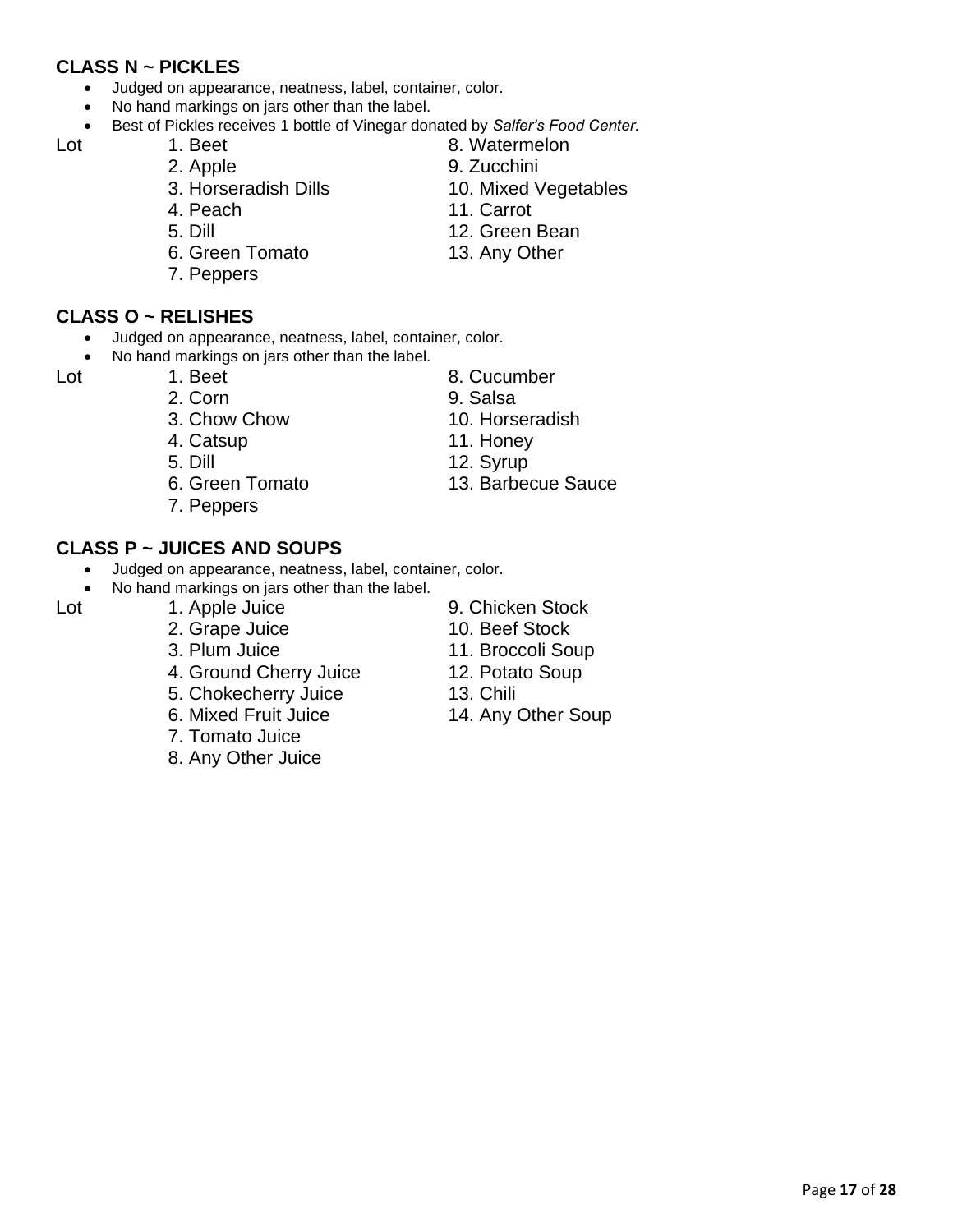#### **CLASS N ~ PICKLES**

- Judged on appearance, neatness, label, container, color.
- No hand markings on jars other than the label.
- Best of Pickles receives 1 bottle of Vinegar donated by *Salfer's Food Center.*

- 
- 3. Horseradish Dills 10. Mixed Vegetables
- 4. Peach 11. Carrot
- 
- 6. Green Tomato 13. Any Other
- 7. Peppers

#### **CLASS O ~ RELISHES**

- Judged on appearance, neatness, label, container, color.
- No hand markings on jars other than the label.

- -
- 
- 
- 6. Green Tomato 13. Barbecue Sauce
- 7. Peppers

#### **CLASS P ~ JUICES AND SOUPS**

- Judged on appearance, neatness, label, container, color.
- No hand markings on jars other than the label.

- 2. Grape Juice 10. Beef Stock
- 3. Plum Juice 11. Broccoli Soup
- 4. Ground Cherry Juice 12. Potato Soup
- 5. Chokecherry Juice 13. Chili
- 
- 7. Tomato Juice
- 8. Any Other Juice
- 
- Lot 1. Apple Juice 9. Chicken Stock
	-
	-
	-
	- 6. Mixed Fruit Juice 14. Any Other Soup
- Lot 1. Beet 8. Watermelon
	- 2. Apple 9. Zucchini
		-
		-
	- 5. Dill 12. Green Bean
		-
- Lot 1. Beet 8. Cucumber
	- 3. Chow Chow 10. Horseradish
	- 4. Catsup 11. Honey

Page **17** of **28**

- 5. Dill 12. Syrup
- 2. Corn 9. Salsa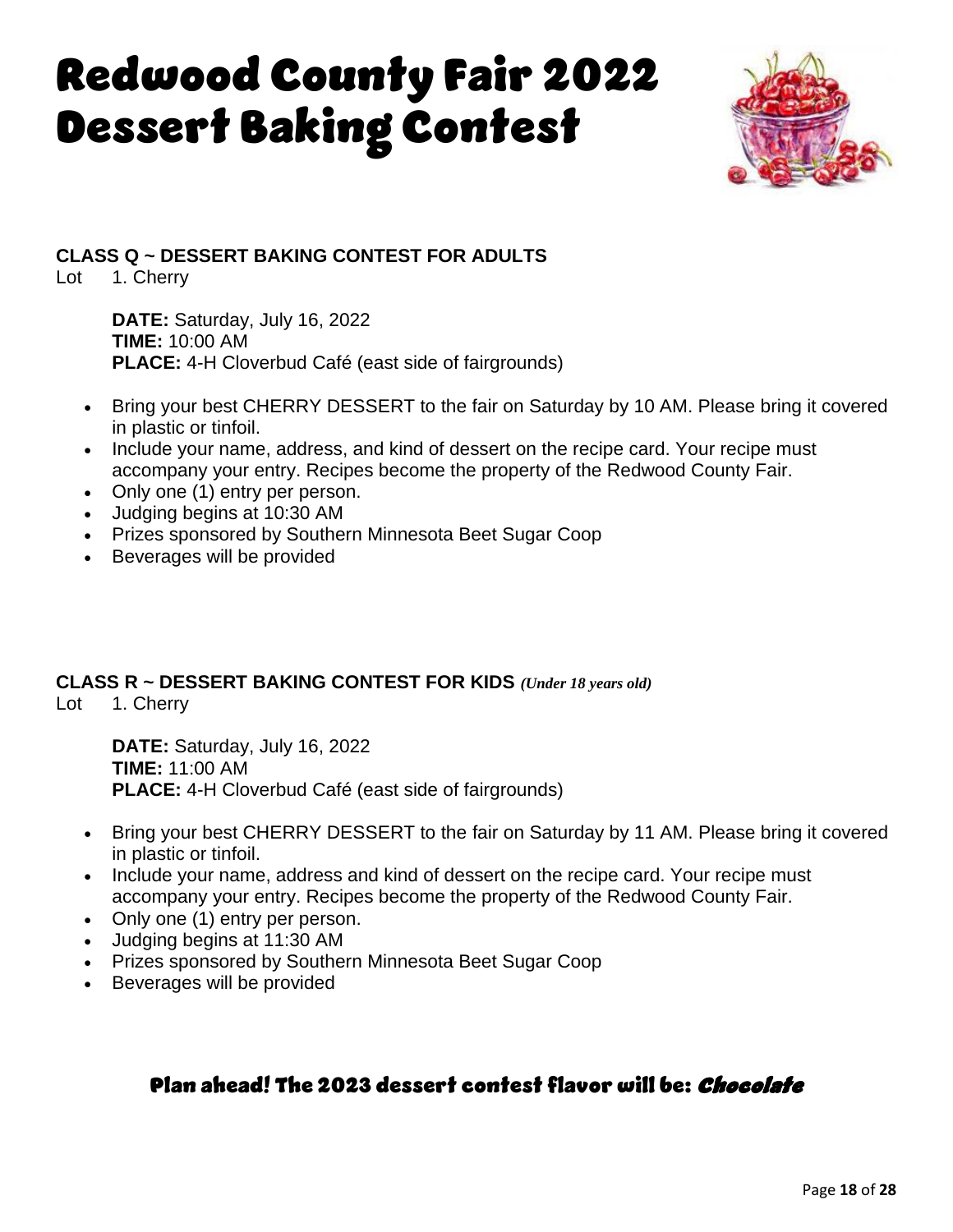# Redwood County Fair 2022 Dessert Baking Contest



**CLASS Q ~ DESSERT BAKING CONTEST FOR ADULTS**

Lot 1. Cherry

**DATE:** Saturday, July 16, 2022 **TIME:** 10:00 AM **PLACE:** 4-H Cloverbud Café (east side of fairgrounds)

- Bring your best CHERRY DESSERT to the fair on Saturday by 10 AM. Please bring it covered in plastic or tinfoil.
- Include your name, address, and kind of dessert on the recipe card. Your recipe must accompany your entry. Recipes become the property of the Redwood County Fair.
- Only one (1) entry per person.
- Judging begins at 10:30 AM
- Prizes sponsored by Southern Minnesota Beet Sugar Coop
- Beverages will be provided

#### **CLASS R ~ DESSERT BAKING CONTEST FOR KIDS** *(Under 18 years old)*

Lot 1. Cherry

**DATE:** Saturday, July 16, 2022 **TIME:** 11:00 AM **PLACE:** 4-H Cloverbud Café (east side of fairgrounds)

- Bring your best CHERRY DESSERT to the fair on Saturday by 11 AM. Please bring it covered in plastic or tinfoil.
- Include your name, address and kind of dessert on the recipe card. Your recipe must accompany your entry. Recipes become the property of the Redwood County Fair.
- Only one (1) entry per person.
- Judging begins at 11:30 AM
- Prizes sponsored by Southern Minnesota Beet Sugar Coop
- Beverages will be provided

## Plan ahead! The 2023 dessert contest flavor will be: Chocolate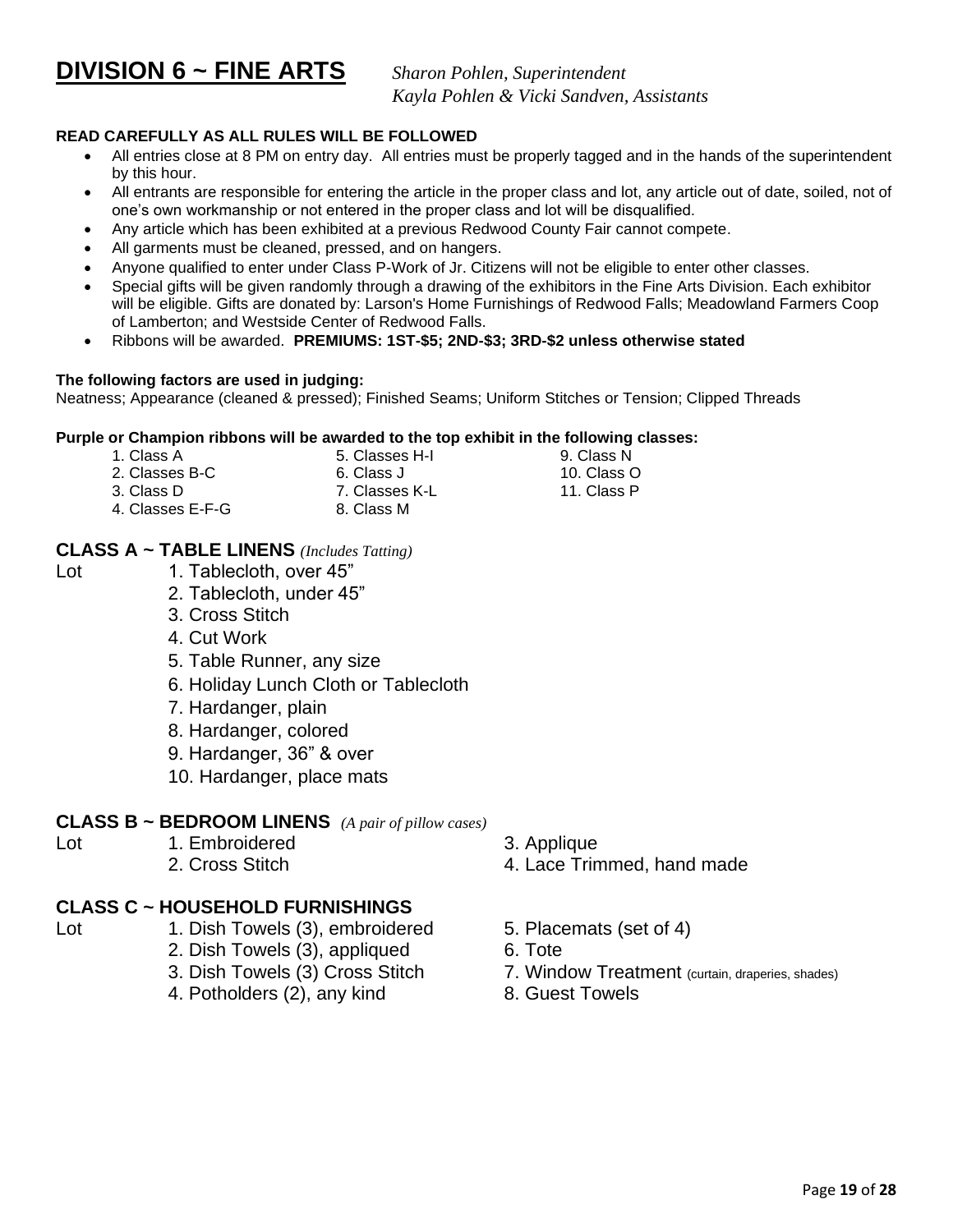**DIVISION 6 ~ FINE ARTS** *Sharon Pohlen, Superintendent*

*Kayla Pohlen & Vicki Sandven, Assistants*

#### **READ CAREFULLY AS ALL RULES WILL BE FOLLOWED**

- All entries close at 8 PM on entry day. All entries must be properly tagged and in the hands of the superintendent by this hour.
- All entrants are responsible for entering the article in the proper class and lot, any article out of date, soiled, not of one's own workmanship or not entered in the proper class and lot will be disqualified.
- Any article which has been exhibited at a previous Redwood County Fair cannot compete.
- All garments must be cleaned, pressed, and on hangers.
- Anyone qualified to enter under Class P-Work of Jr. Citizens will not be eligible to enter other classes.
- Special gifts will be given randomly through a drawing of the exhibitors in the Fine Arts Division. Each exhibitor will be eligible. Gifts are donated by: Larson's Home Furnishings of Redwood Falls; Meadowland Farmers Coop of Lamberton; and Westside Center of Redwood Falls.
- Ribbons will be awarded. **PREMIUMS: 1ST-\$5; 2ND-\$3; 3RD-\$2 unless otherwise stated**

#### **The following factors are used in judging:**

Neatness; Appearance (cleaned & pressed); Finished Seams; Uniform Stitches or Tension; Clipped Threads

#### **Purple or Champion ribbons will be awarded to the top exhibit in the following classes:**

- 1. Class A 5. Classes H-I 9. Class N
- 2. Classes B-C 6. Class J 10. Class O
- 
- 3. Class D 7. Classes K-L 11. Class P
- 4. Classes E-F-G 8. Class M

#### **CLASS A ~ TABLE LINENS** *(Includes Tatting)*

- 
- Lot 1. Tablecloth, over 45"
	- 2. Tablecloth, under 45"
	- 3. Cross Stitch
	- 4. Cut Work
	- 5. Table Runner, any size
	- 6. Holiday Lunch Cloth or Tablecloth
	- 7. Hardanger, plain
	- 8. Hardanger, colored
	- 9. Hardanger, 36" & over
	- 10. Hardanger, place mats

#### **CLASS B ~ BEDROOM LINENS** *(A pair of pillow cases)*

- 
- Lot 1. Embroidered 3. Applique
	- 2. Cross Stitch 4. Lace Trimmed, hand made
- **CLASS C ~ HOUSEHOLD FURNISHINGS**
- 
- Lot 1. Dish Towels (3), embroidered 5. Placemats (set of 4)
	- 2. Dish Towels (3), appliqued 6. Tote
	- 3. Dish Towels (3) Cross Stitch 7. Window Treatment (curtain, draperies, shades)
	- 4. Potholders (2), any kind 8. Guest Towels

Page **19** of **28**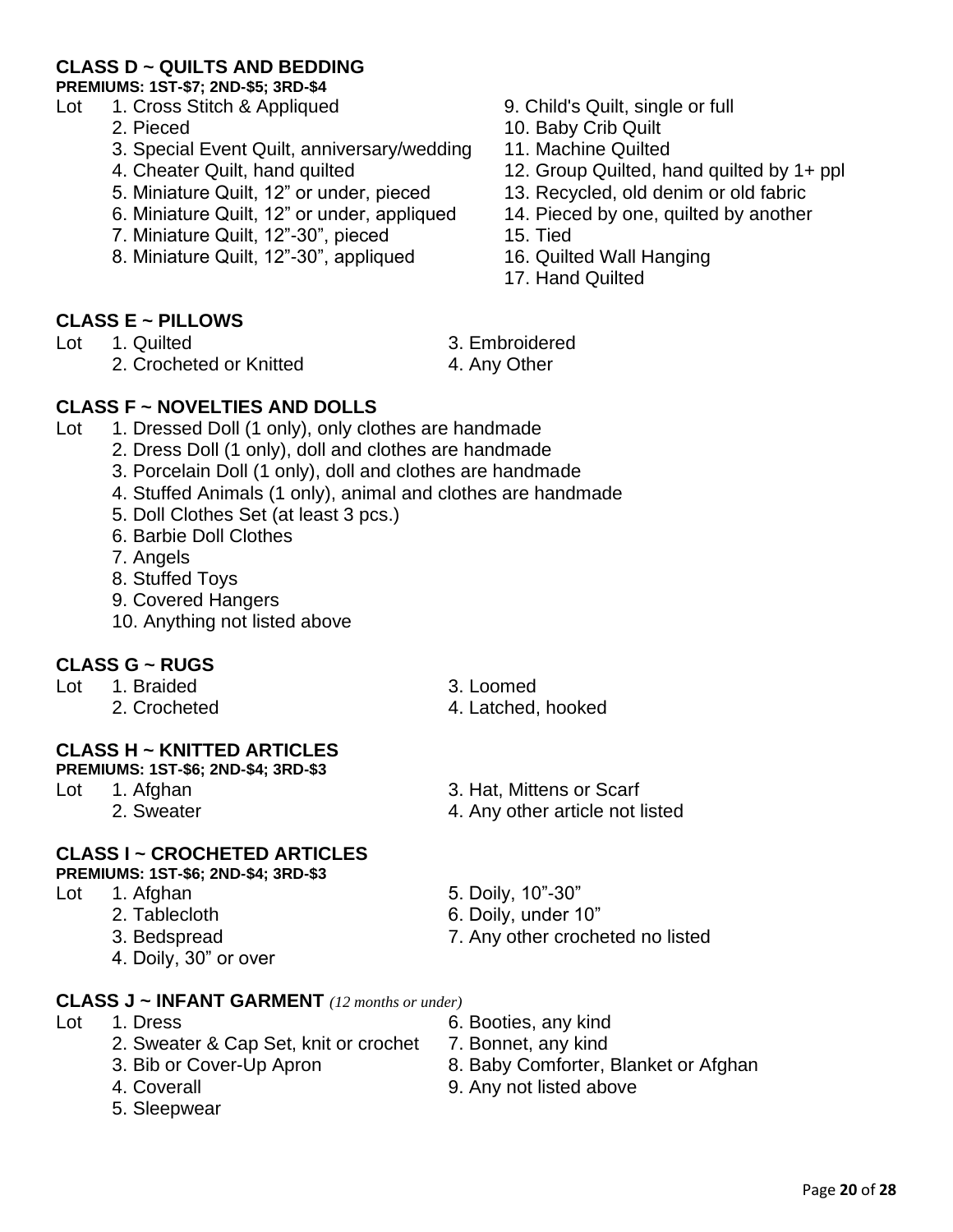#### **CLASS D ~ QUILTS AND BEDDING**

**PREMIUMS: 1ST-\$7; 2ND-\$5; 3RD-\$4**

- Lot 1. Cross Stitch & Appliqued 9. Child's Quilt, single or full
	-
	- 3. Special Event Quilt, anniversary/wedding 11. Machine Quilted
	-
	- 5. Miniature Quilt, 12" or under, pieced 13. Recycled, old denim or old fabric
	- 6. Miniature Quilt, 12" or under, appliqued 14. Pieced by one, quilted by another
	- 7. Miniature Quilt, 12"-30", pieced 15. Tied
	- 8. Miniature Quilt, 12"-30", appliqued 16. Quilted Wall Hanging
- 
- 2. Pieced 10. Baby Crib Quilt
	-
- 4. Cheater Quilt, hand quilted 12. Group Quilted, hand quilted by 1+ ppl
	-
	-
	-
	-
	- 17. Hand Quilted

#### **CLASS E ~ PILLOWS**

- Lot 1. Quilted 3. Embroidered
	- 2. Crocheted or Knitted 4. Any Other
- -

#### **CLASS F ~ NOVELTIES AND DOLLS**

- Lot 1. Dressed Doll (1 only), only clothes are handmade
	- 2. Dress Doll (1 only), doll and clothes are handmade
		- 3. Porcelain Doll (1 only), doll and clothes are handmade
		- 4. Stuffed Animals (1 only), animal and clothes are handmade
		- 5. Doll Clothes Set (at least 3 pcs.)
		- 6. Barbie Doll Clothes
		- 7. Angels
		- 8. Stuffed Toys
		- 9. Covered Hangers
		- 10. Anything not listed above

#### **CLASS G ~ RUGS**

- Lot 1. Braided 3. Loomed
	-

2. Crocheted 2. Crocheted 4. Latched, hooked

#### **CLASS H ~ KNITTED ARTICLES**

**PREMIUMS: 1ST-\$6; 2ND-\$4; 3RD-\$3**

- -

#### **CLASS I ~ CROCHETED ARTICLES**

**PREMIUMS: 1ST-\$6; 2ND-\$4; 3RD-\$3**

- -
	-
	- 4. Doily, 30" or over
- Lot 1. Afghan 3. Hat, Mittens or Scarf
	- 2. Sweater **4. Any other article not listed**
- Lot 1. Afghan 5. Doily, 10"-30"
	- 2. Tablecloth 6. Doily, under 10"
	- 3. Bedspread 7. Any other crocheted no listed

#### **CLASS J ~ INFANT GARMENT** *(12 months or under)*

- Lot 1. Dress 6. Booties, any kind
	- 2. Sweater & Cap Set, knit or crochet 7. Bonnet, any kind
	-
	-
	- 5. Sleepwear
- 
- 
- 3. Bib or Cover-Up Apron 8. Baby Comforter, Blanket or Afghan
- 4. Coverall 9. Any not listed above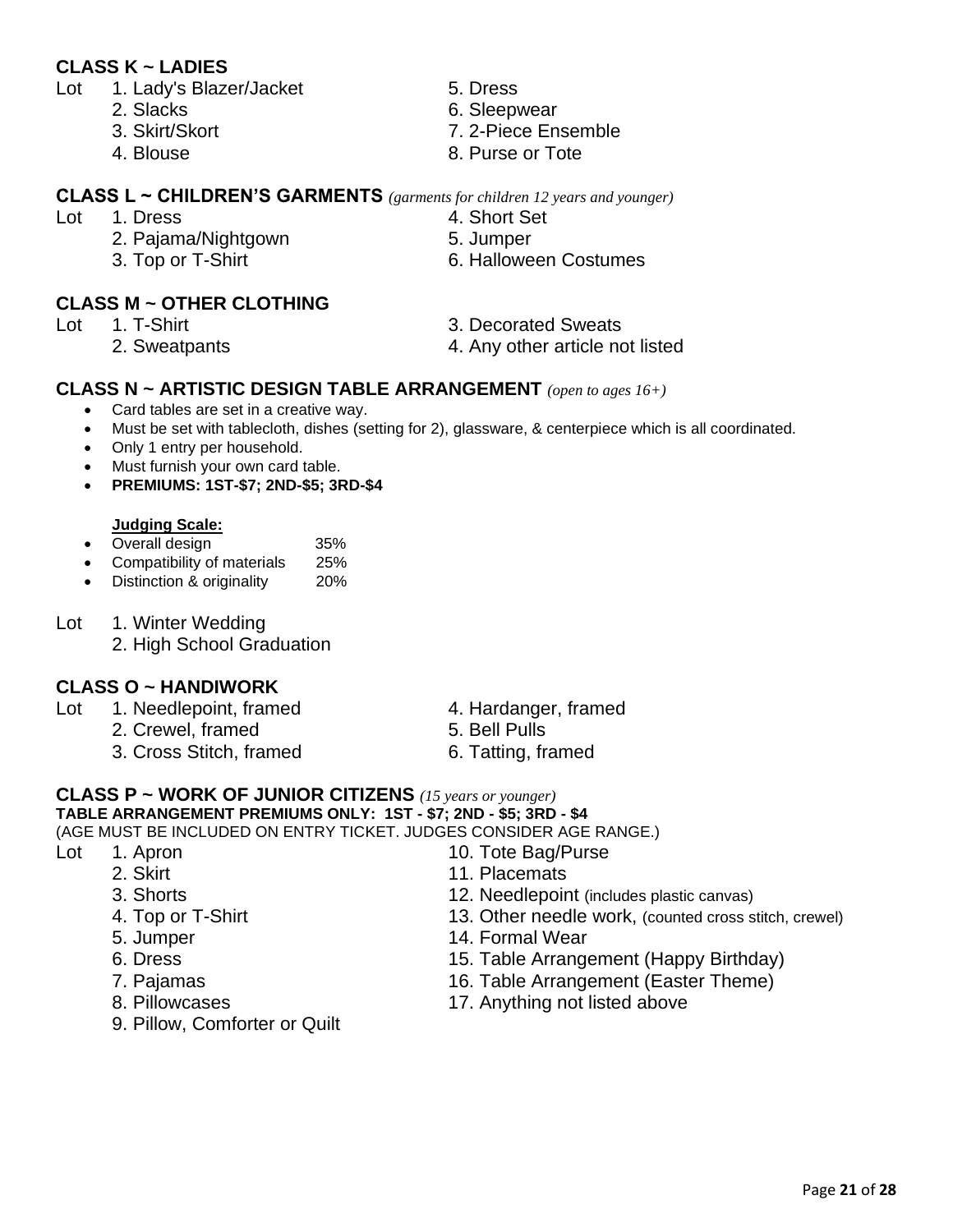#### **CLASS K ~ LADIES**

- Lot 1. Lady's Blazer/Jacket 5. Dress
	-
	-
	-
- -
- **CLASS L ~ CHILDREN'S GARMENTS** *(garments for children 12 years and younger)*
- Lot 1. Dress 4. Short Set
	- 2. Pajama/Nightgown 5. Jumper
	- 3. Top or T-Shirt 6. Halloween Costumes

#### **CLASS M ~ OTHER CLOTHING**

- -
- 
- 2. Slacks 6. Sleepwear
- 3. Skirt/Skort 7. 2-Piece Ensemble
- 4. Blouse 8. Purse or Tote
- 
- -
	-
- Lot 1. T-Shirt 1. The contract 1. T-Shirt 3. Decorated Sweats
	- 2. Sweatpants 4. Any other article not listed

#### **CLASS N ~ ARTISTIC DESIGN TABLE ARRANGEMENT** *(open to ages 16+)*

- Card tables are set in a creative way.
- Must be set with tablecloth, dishes (setting for 2), glassware, & centerpiece which is all coordinated.
- Only 1 entry per household.
- Must furnish your own card table.
- **PREMIUMS: 1ST-\$7; 2ND-\$5; 3RD-\$4**

#### **Judging Scale:**

- Overall design 35%
- Compatibility of materials 25%
- Distinction & originality 20%
- Lot 1. Winter Wedding
	- 2. High School Graduation

#### **CLASS O ~ HANDIWORK**

- Lot 1. Needlepoint, framed 4. Hardanger, framed
	- 2. Crewel, framed 5. Bell Pulls
	- 3. Cross Stitch, framed 6. Tatting, framed
- 
- 
- 

#### **CLASS P ~ WORK OF JUNIOR CITIZENS** *(15 years or younger)* **TABLE ARRANGEMENT PREMIUMS ONLY: 1ST - \$7; 2ND - \$5; 3RD - \$4**

(AGE MUST BE INCLUDED ON ENTRY TICKET. JUDGES CONSIDER AGE RANGE.)

- -
	-
	-
	-
	-
	-
	-
	- 9. Pillow, Comforter or Quilt
- Lot 1. Apron 10. Tote Bag/Purse
	- 2. Skirt 11. Placemats
	- 3. Shorts 12. Needlepoint (includes plastic canvas)
	- 4. Top or T-Shirt 13. Other needle work, (counted cross stitch, crewel)
	- 5. Jumper 14. Formal Wear
	- 6. Dress 15. Table Arrangement (Happy Birthday)
	- 7. Pajamas 16. Table Arrangement (Easter Theme)
	- 8. Pillowcases 17. Anything not listed above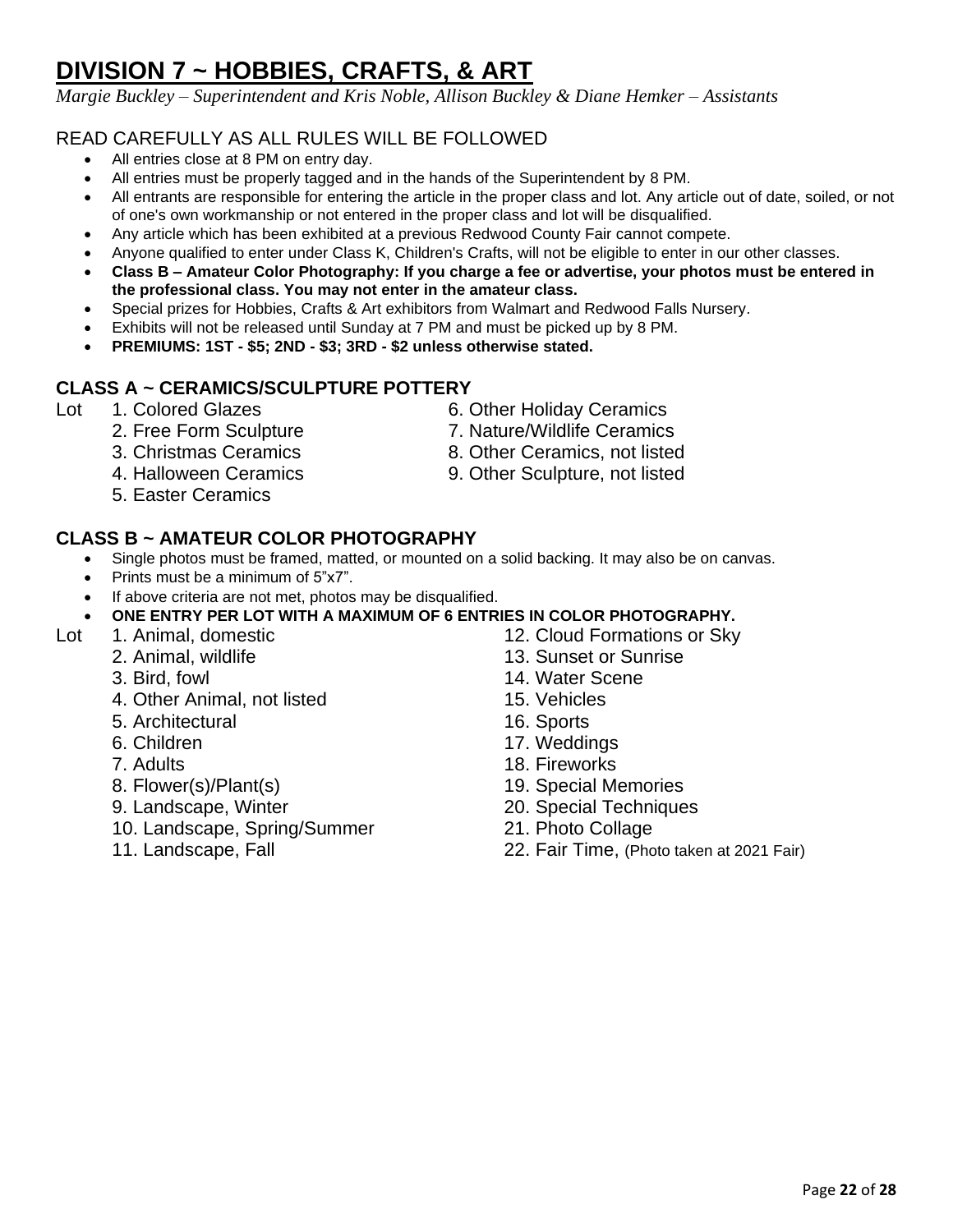# **DIVISION 7 ~ HOBBIES, CRAFTS, & ART**

*Margie Buckley – Superintendent and Kris Noble, Allison Buckley & Diane Hemker – Assistants*

#### READ CAREFULLY AS ALL RULES WILL BE FOLLOWED

- All entries close at 8 PM on entry day.
- All entries must be properly tagged and in the hands of the Superintendent by 8 PM.
- All entrants are responsible for entering the article in the proper class and lot. Any article out of date, soiled, or not of one's own workmanship or not entered in the proper class and lot will be disqualified.
- Any article which has been exhibited at a previous Redwood County Fair cannot compete.
- Anyone qualified to enter under Class K, Children's Crafts, will not be eligible to enter in our other classes.
- **Class B – Amateur Color Photography: If you charge a fee or advertise, your photos must be entered in the professional class. You may not enter in the amateur class.**
- Special prizes for Hobbies, Crafts & Art exhibitors from Walmart and Redwood Falls Nursery.
- Exhibits will not be released until Sunday at 7 PM and must be picked up by 8 PM.
- **PREMIUMS: 1ST - \$5; 2ND - \$3; 3RD - \$2 unless otherwise stated.**

#### **CLASS A ~ CERAMICS/SCULPTURE POTTERY**

- Lot 1. Colored Glazes 6. Other Holiday Ceramics
	- 2. Free Form Sculpture 7. Nature/Wildlife Ceramics
	- 3. Christmas Ceramics 8. Other Ceramics, not listed
	-
	- 5. Easter Ceramics

#### **CLASS B ~ AMATEUR COLOR PHOTOGRAPHY**

- Single photos must be framed, matted, or mounted on a solid backing. It may also be on canvas.
- Prints must be a minimum of 5"x7".
- If above criteria are not met, photos may be disqualified.

#### • **ONE ENTRY PER LOT WITH A MAXIMUM OF 6 ENTRIES IN COLOR PHOTOGRAPHY.**

- Lot 1. Animal, domestic 12. Cloud Formations or Sky
	- -
		- 4. Other Animal, not listed 15. Vehicles
		- 5. Architectural 16. Sports
		-
		-
		-
		-
		- 10. Landscape, Spring/Summer 21. Photo Collage
		-
- 
- 
- 
- 4. Halloween Ceramics 9. Other Sculpture, not listed

- 2. Animal, wildlife 13. Sunset or Sunrise
- 3. Bird, fowl 14. Water Scene
	-
	-
- 6. Children 17. Weddings
- 7. Adults 18. Fireworks
- 8. Flower(s)/Plant(s) 19. Special Memories
- 9. Landscape, Winter 20. Special Techniques
	-
- 11. Landscape, Fall 22. Fair Time, (Photo taken at 2021 Fair)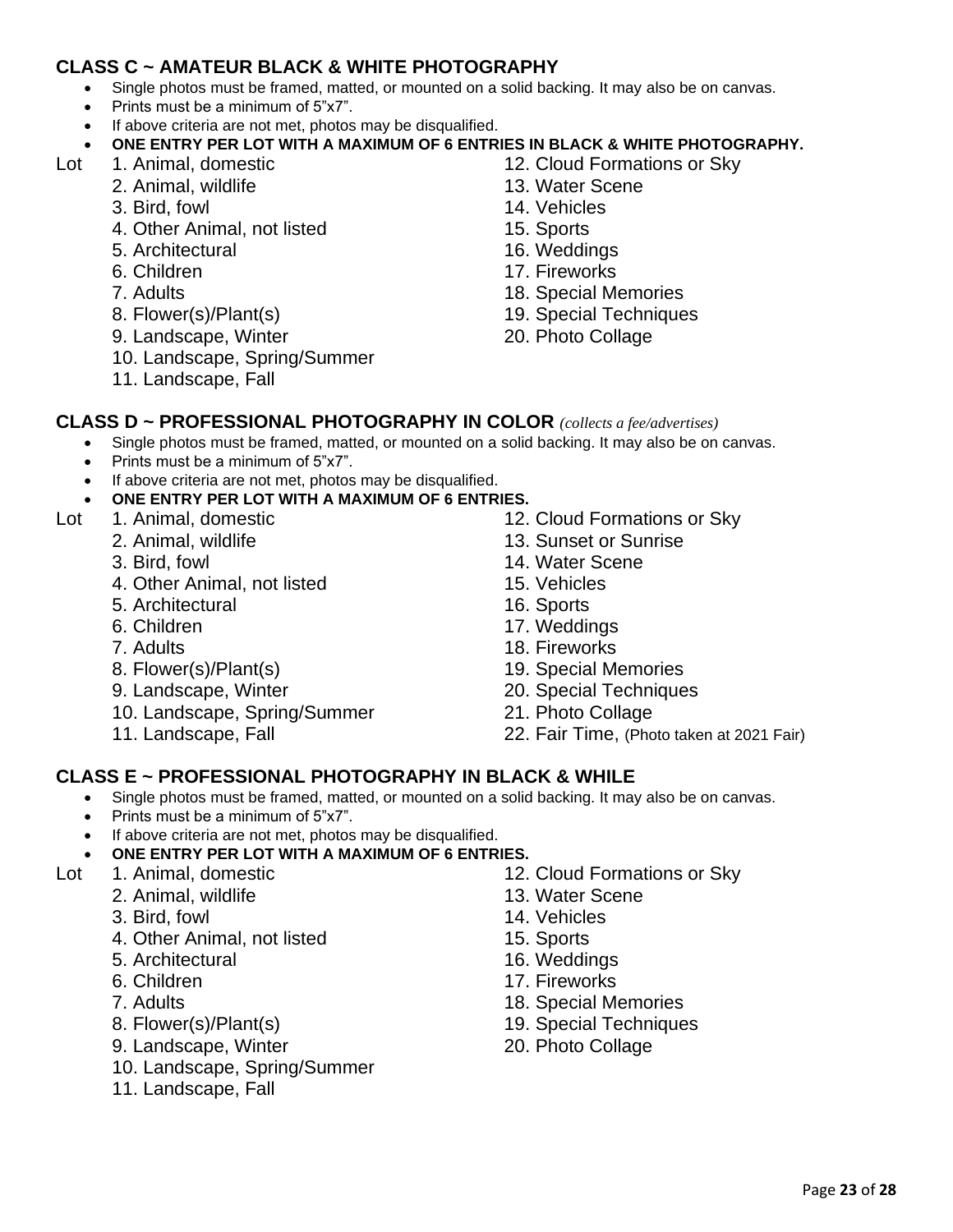#### **CLASS C ~ AMATEUR BLACK & WHITE PHOTOGRAPHY**

- Single photos must be framed, matted, or mounted on a solid backing. It may also be on canvas.
- Prints must be a minimum of 5"x7".
- If above criteria are not met, photos may be disqualified.
- **ONE ENTRY PER LOT WITH A MAXIMUM OF 6 ENTRIES IN BLACK & WHITE PHOTOGRAPHY.**
- - 2. Animal, wildlife 13. Water Scene
	- 3. Bird, fowl 14. Vehicles
	- 4. Other Animal, not listed 15. Sports
	- 5. Architectural 16. Weddings
	-
	-
	-
	- 9. Landscape, Winter 20. Photo Collage
	- 10. Landscape, Spring/Summer
	- 11. Landscape, Fall
- Lot 1. Animal, domestic 12. Cloud Formations or Sky
	-
	-
	-
	-
	- 6. Children 17. Fireworks
	- 7. Adults 18. Special Memories
	- 8. Flower(s)/Plant(s) 19. Special Techniques
		-
- **CLASS D ~ PROFESSIONAL PHOTOGRAPHY IN COLOR** *(collects a fee/advertises)*
	- Single photos must be framed, matted, or mounted on a solid backing. It may also be on canvas.
	- Prints must be a minimum of 5"x7".
	- If above criteria are not met, photos may be disqualified.
	- **ONE ENTRY PER LOT WITH A MAXIMUM OF 6 ENTRIES.**
- -
	-
	- 4. Other Animal, not listed 15. Vehicles
	- 5. Architectural 16. Sports
	-
	-
	-
	-
	- 10. Landscape, Spring/Summer 21. Photo Collage
	-
- Lot 1. Animal, domestic 12. Cloud Formations or Sky
	- 2. Animal, wildlife 13. Sunset or Sunrise
	- 3. Bird, fowl 14. Water Scene
		-
		-
	- 6. Children 17. Weddings
	- 7. Adults 18. Fireworks
	- 8. Flower(s)/Plant(s) 19. Special Memories
	- 9. Landscape, Winter 20. Special Techniques
		-
	- 11. Landscape, Fall 22. Fair Time, (Photo taken at 2021 Fair)

#### **CLASS E ~ PROFESSIONAL PHOTOGRAPHY IN BLACK & WHILE**

- Single photos must be framed, matted, or mounted on a solid backing. It may also be on canvas.
- Prints must be a minimum of 5"x7".
- If above criteria are not met, photos may be disqualified.
- **ONE ENTRY PER LOT WITH A MAXIMUM OF 6 ENTRIES.**
- - 2. Animal, wildlife 13. Water Scene
		-
	- 4. Other Animal, not listed 15. Sports
	- 5. Architectural 16. Weddings
	-
	-
	-
	- 9. Landscape, Winter 20. Photo Collage
	- 10. Landscape, Spring/Summer
	- 11. Landscape, Fall
- Lot 1. Animal, domestic 12. Cloud Formations or Sky
	-
	- 3. Bird, fowl 14. Vehicles
		-
		-
	- 6. Children 17. Fireworks
	- 7. Adults 18. Special Memories
	- 8. Flower(s)/Plant(s) 19. Special Techniques
		-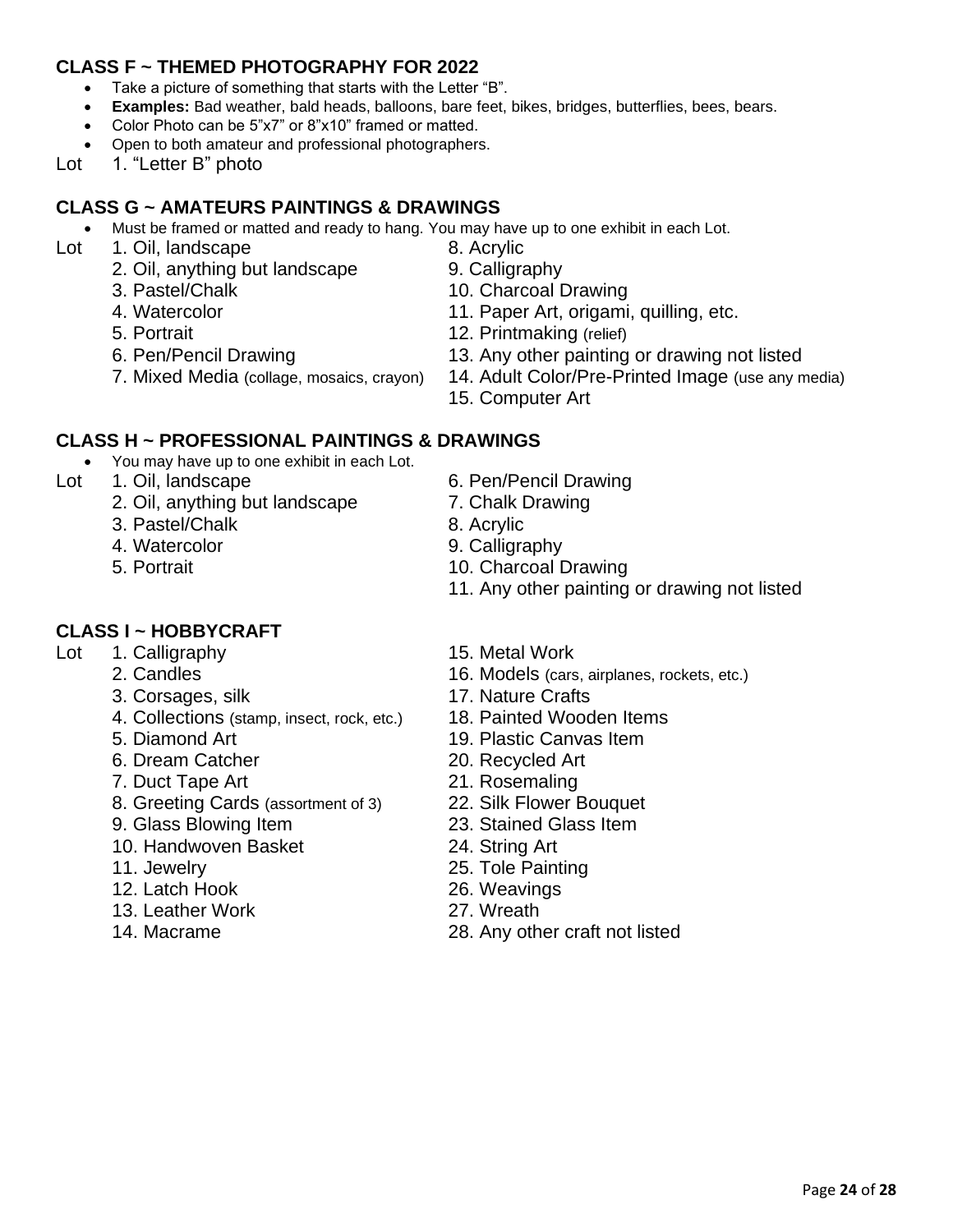#### **CLASS F ~ THEMED PHOTOGRAPHY FOR 2022**

- Take a picture of something that starts with the Letter "B".
- **Examples:** Bad weather, bald heads, balloons, bare feet, bikes, bridges, butterflies, bees, bears.
- Color Photo can be 5"x7" or 8"x10" framed or matted.
- Open to both amateur and professional photographers.
- Lot 1. "Letter B" photo

#### **CLASS G ~ AMATEURS PAINTINGS & DRAWINGS**

- Must be framed or matted and ready to hang. You may have up to one exhibit in each Lot.
- Lot 1. Oil, landscape 8. Acrylic
	- 2. Oil, anything but landscape 9. Calligraphy
	-
	-
	-
	-
	-
- 
- 
- 3. Pastel/Chalk 10. Charcoal Drawing
- 4. Watercolor 11. Paper Art, origami, quilling, etc.
- 5. Portrait 12. Printmaking (relief)
- 6. Pen/Pencil Drawing 13. Any other painting or drawing not listed
- 7. Mixed Media (collage, mosaics, crayon) 14. Adult Color/Pre-Printed Image (use any media)
	- 15. Computer Art

#### **CLASS H ~ PROFESSIONAL PAINTINGS & DRAWINGS**

- You may have up to one exhibit in each Lot.
- Lot 1. Oil, landscape 6. Pen/Pencil Drawing
	- 2. Oil, anything but landscape 7. Chalk Drawing
	- 3. Pastel/Chalk 8. Acrylic
	- 4. Watercolor 9. Calligraphy
	-

#### **CLASS I ~ HOBBYCRAFT**

- Lot 1. Calligraphy 15. Metal Work
	-
	- 3. Corsages, silk 17. Nature Crafts
	- 4. Collections (stamp, insect, rock, etc.) 18. Painted Wooden Items
	-
	- 6. Dream Catcher 20. Recycled Art
	- 7. Duct Tape Art 21. Rosemaling
	- 8. Greeting Cards (assortment of 3) 22. Silk Flower Bouquet
	-
	- 10. Handwoven Basket 24. String Art
	-
	- 12. Latch Hook 26. Weavings
	- 13. Leather Work 27. Wreath
	-
- 
- 
- 
- 
- 5. Portrait 10. Charcoal Drawing
	- 11. Any other painting or drawing not listed
	-
- 2. Candles 16. Models (cars, airplanes, rockets, etc.)
	-
	-
- 5. Diamond Art 19. Plastic Canvas Item
	-
	-
	-
- 9. Glass Blowing Item 23. Stained Glass Item
	-
- 11. Jewelry 25. Tole Painting
	-
	-
- 14. Macrame 28. Any other craft not listed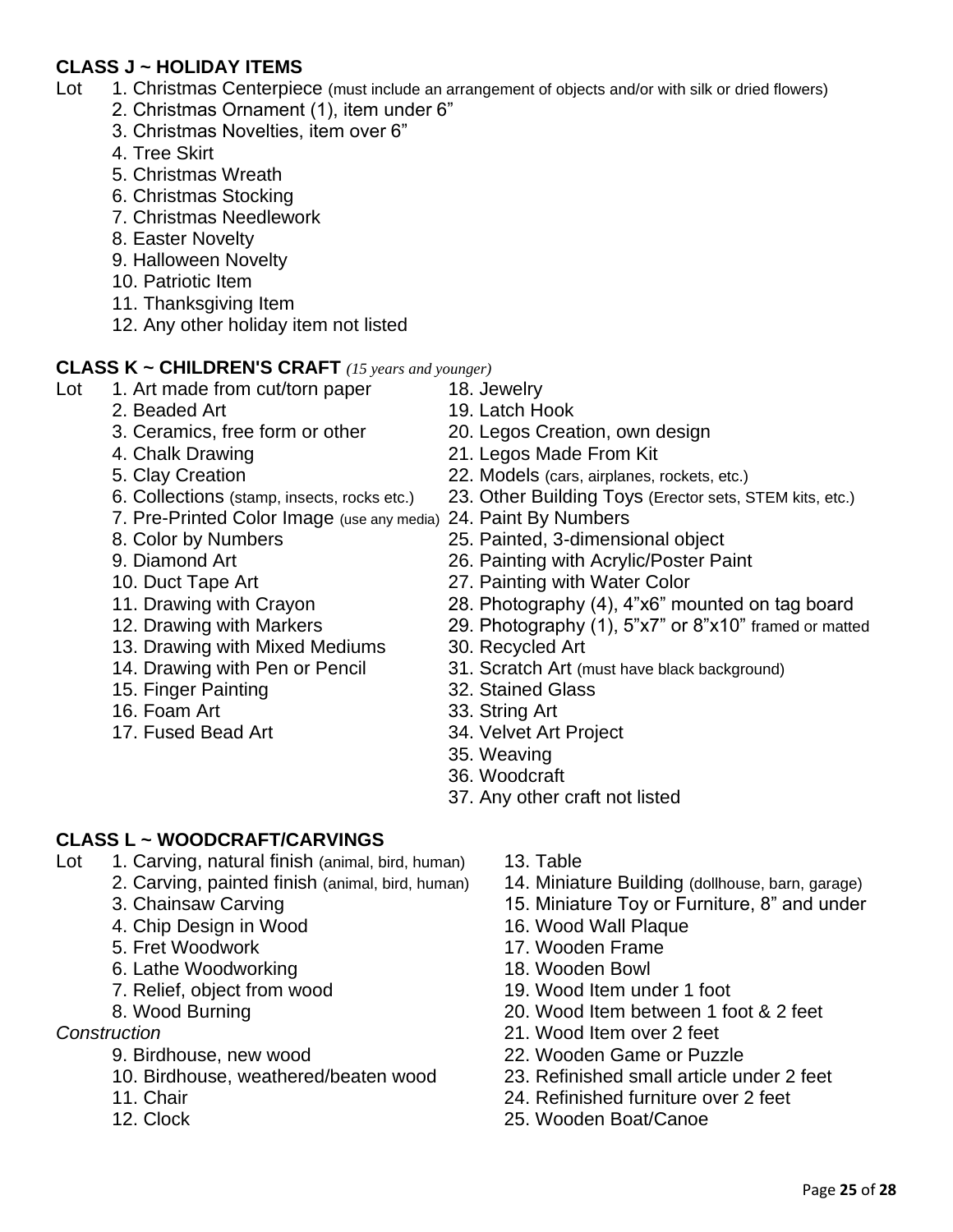#### **CLASS J ~ HOLIDAY ITEMS**

- Lot 1. Christmas Centerpiece (must include an arrangement of objects and/or with silk or dried flowers)
	- 2. Christmas Ornament (1), item under 6"
	- 3. Christmas Novelties, item over 6"
	- 4. Tree Skirt
	- 5. Christmas Wreath
	- 6. Christmas Stocking
	- 7. Christmas Needlework
	- 8. Easter Novelty
	- 9. Halloween Novelty
	- 10. Patriotic Item
	- 11. Thanksgiving Item
	- 12. Any other holiday item not listed

#### **CLASS K ~ CHILDREN'S CRAFT** *(15 years and younger)*

- Lot 1. Art made from cut/torn paper 18. Jewelry
	- 2. Beaded Art 19. Latch Hook
	-
	-
	-
	-
	- 7. Pre-Printed Color Image (use any media) 24. Paint By Numbers
	-
	-
	-
	-
	-
	- 13. Drawing with Mixed Mediums 30. Recycled Art
	-
	- 15. Finger Painting 32. Stained Glass
	-
	-
- 
- 
- 3. Ceramics, free form or other 20. Legos Creation, own design
- 4. Chalk Drawing 21. Legos Made From Kit
- 5. Clay Creation 22. Models (cars, airplanes, rockets, etc.)
- 6. Collections (stamp, insects, rocks etc.) 23. Other Building Toys (Erector sets, STEM kits, etc.)
	-
- 8. Color by Numbers 25. Painted, 3-dimensional object
- 9. Diamond Art 26. Painting with Acrylic/Poster Paint
- 10. Duct Tape Art 27. Painting with Water Color
- 11. Drawing with Crayon 28. Photography (4), 4"x6" mounted on tag board
- 12. Drawing with Markers 29. Photography (1), 5"x7" or 8"x10" framed or matted
	-
- 14. Drawing with Pen or Pencil 31. Scratch Art (must have black background)
	-
- 16. Foam Art 33. String Art
- 17. Fused Bead Art 34. Velvet Art Project
	- 35. Weaving
	- 36. Woodcraft
	- 37. Any other craft not listed

#### **CLASS L ~ WOODCRAFT/CARVINGS**

- Lot 1. Carving, natural finish (animal, bird, human) 13. Table
	-
	-
	- 4. Chip Design in Wood 16. Wood Wall Plaque
	-
	- 6. Lathe Woodworking 18. Wooden Bowl
	-
	-

- 
- 10. Birdhouse, weathered/beaten wood 23. Refinished small article under 2 feet
- 
- 
- 
- 2. Carving, painted finish (animal, bird, human) 14. Miniature Building (dollhouse, barn, garage)
- 3. Chainsaw Carving 15. Miniature Toy or Furniture, 8" and under
	-
- 5. Fret Woodwork 17. Wooden Frame
	-
- 7. Relief, object from wood 19. Wood Item under 1 foot
- 8. Wood Burning 20. Wood Item between 1 foot & 2 feet
- *Construction* 21. Wood Item over 2 feet
	- 9. Birdhouse, new wood 22. Wooden Game or Puzzle
		-
	- 11. Chair 24. Refinished furniture over 2 feet
	- 12. Clock 25. Wooden Boat/Canoe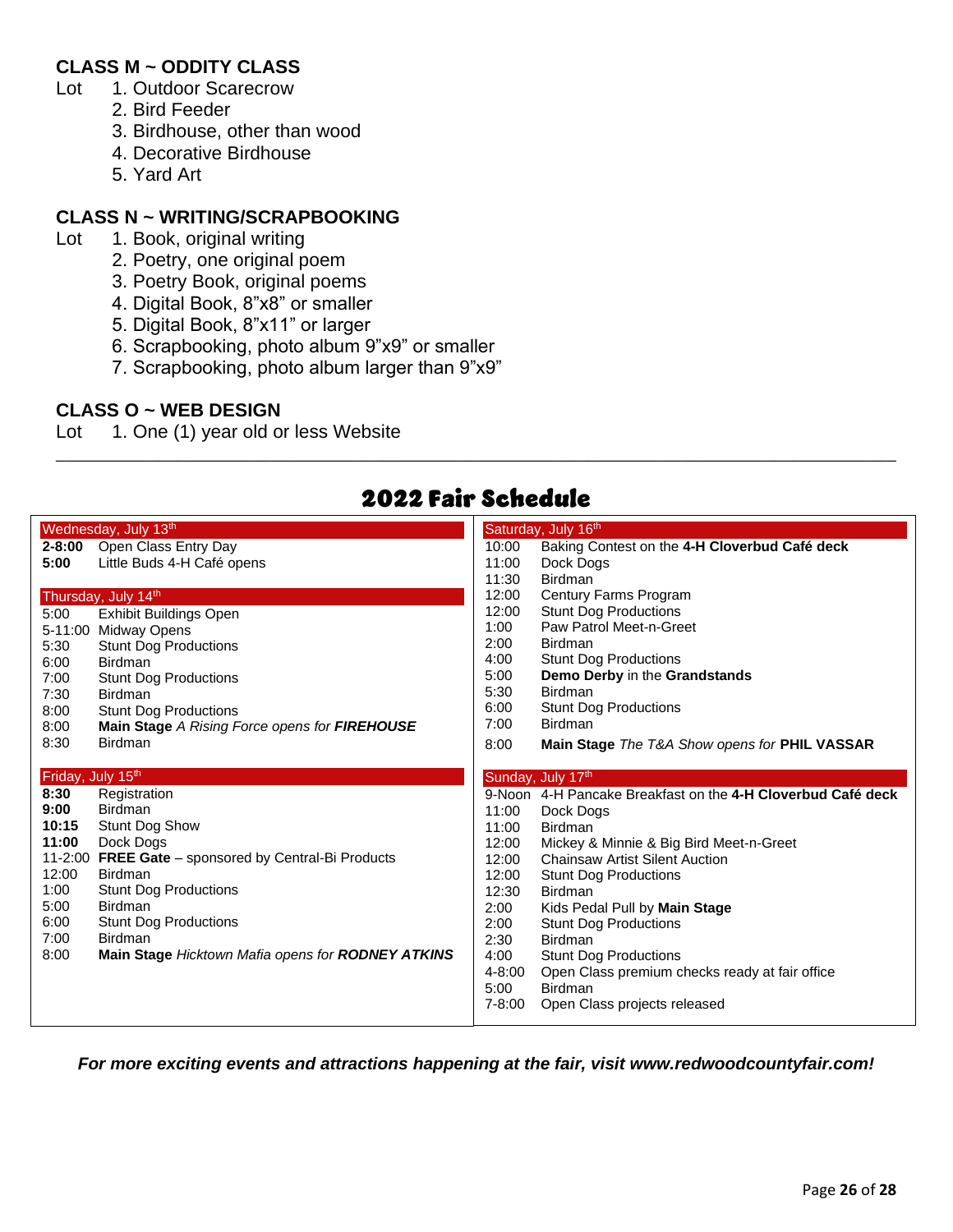#### **CLASS M ~ ODDITY CLASS**

- Lot 1. Outdoor Scarecrow
	- 2. Bird Feeder
	- 3. Birdhouse, other than wood
	- 4. Decorative Birdhouse
	- 5. Yard Art

#### **CLASS N ~ WRITING/SCRAPBOOKING**

- Lot 1. Book, original writing
	- 2. Poetry, one original poem
	- 3. Poetry Book, original poems
	- 4. Digital Book, 8"x8" or smaller
	- 5. Digital Book, 8"x11" or larger
	- 6. Scrapbooking, photo album 9"x9" or smaller
	- 7. Scrapbooking, photo album larger than 9"x9"

#### **CLASS O ~ WEB DESIGN**

Lot 1. One (1) year old or less Website

|                   | Wednesday, July 13th                                 |            | Saturday, July 16th                                         |
|-------------------|------------------------------------------------------|------------|-------------------------------------------------------------|
|                   | 2-8:00 Open Class Entry Day                          | 10:00      | Baking Contest on the 4-H Cloverbud Café deck               |
| 5:00              | Little Buds 4-H Café opens                           | 11:00      | Dock Dogs                                                   |
|                   |                                                      | 11:30      | <b>Birdman</b>                                              |
|                   | Thursday, July 14th                                  | 12:00      | Century Farms Program                                       |
| 5:00              | Exhibit Buildings Open                               | 12:00      | <b>Stunt Dog Productions</b>                                |
|                   | 5-11:00 Midway Opens                                 | 1:00       | Paw Patrol Meet-n-Greet                                     |
| 5:30              | <b>Stunt Dog Productions</b>                         | 2:00       | <b>Birdman</b>                                              |
| 6:00              | <b>Birdman</b>                                       | 4:00       | <b>Stunt Dog Productions</b>                                |
| 7:00              | <b>Stunt Dog Productions</b>                         | 5:00       | Demo Derby in the Grandstands                               |
| 7:30              | <b>Birdman</b>                                       | 5:30       | <b>Birdman</b>                                              |
| 8:00              | <b>Stunt Dog Productions</b>                         | 6:00       | <b>Stunt Dog Productions</b>                                |
| 8:00              | Main Stage A Rising Force opens for FIREHOUSE        | 7:00       | <b>Birdman</b>                                              |
| 8:30              | <b>Birdman</b>                                       | 8:00       | Main Stage The T&A Show opens for PHIL VASSAR               |
|                   |                                                      |            |                                                             |
| Friday, July 15th |                                                      |            | Sunday, July 17th                                           |
| 8:30              |                                                      |            |                                                             |
|                   | Registration                                         |            | 9-Noon 4-H Pancake Breakfast on the 4-H Cloverbud Café deck |
| 9:00              | <b>Birdman</b>                                       | 11:00      | Dock Dogs                                                   |
| 10:15             | Stunt Dog Show                                       | 11:00      | Birdman                                                     |
| 11:00             | Dock Dogs                                            | 12:00      | Mickey & Minnie & Big Bird Meet-n-Greet                     |
|                   | 11-2:00 FREE Gate - sponsored by Central-Bi Products | 12:00      | <b>Chainsaw Artist Silent Auction</b>                       |
| 12:00             | Birdman                                              | 12:00      | <b>Stunt Dog Productions</b>                                |
| 1:00              | <b>Stunt Dog Productions</b>                         | 12:30      | <b>Birdman</b>                                              |
| 5:00              | <b>Birdman</b>                                       | 2:00       | Kids Pedal Pull by Main Stage                               |
| 6:00              | <b>Stunt Dog Productions</b>                         | 2:00       | <b>Stunt Dog Productions</b>                                |
| 7:00              | <b>Birdman</b>                                       | 2:30       | Birdman                                                     |
| 8:00              | Main Stage Hicktown Mafia opens for RODNEY ATKINS    | 4:00       | <b>Stunt Dog Productions</b>                                |
|                   |                                                      | 4-8:00     | Open Class premium checks ready at fair office              |
|                   |                                                      | 5:00       | <b>Birdman</b>                                              |
|                   |                                                      | $7 - 8:00$ | Open Class projects released                                |

# 2022 Fair Schedule

\_\_\_\_\_\_\_\_\_\_\_\_\_\_\_\_\_\_\_\_\_\_\_\_\_\_\_\_\_\_\_\_\_\_\_\_\_\_\_\_\_\_\_\_\_\_\_\_\_\_\_\_\_\_\_\_\_\_\_\_\_\_\_\_\_\_\_\_\_\_\_\_\_\_\_\_\_\_\_\_\_\_\_\_\_\_\_\_\_\_

*For more exciting events and attractions happening at the fair, visit www.redwoodcountyfair.com!*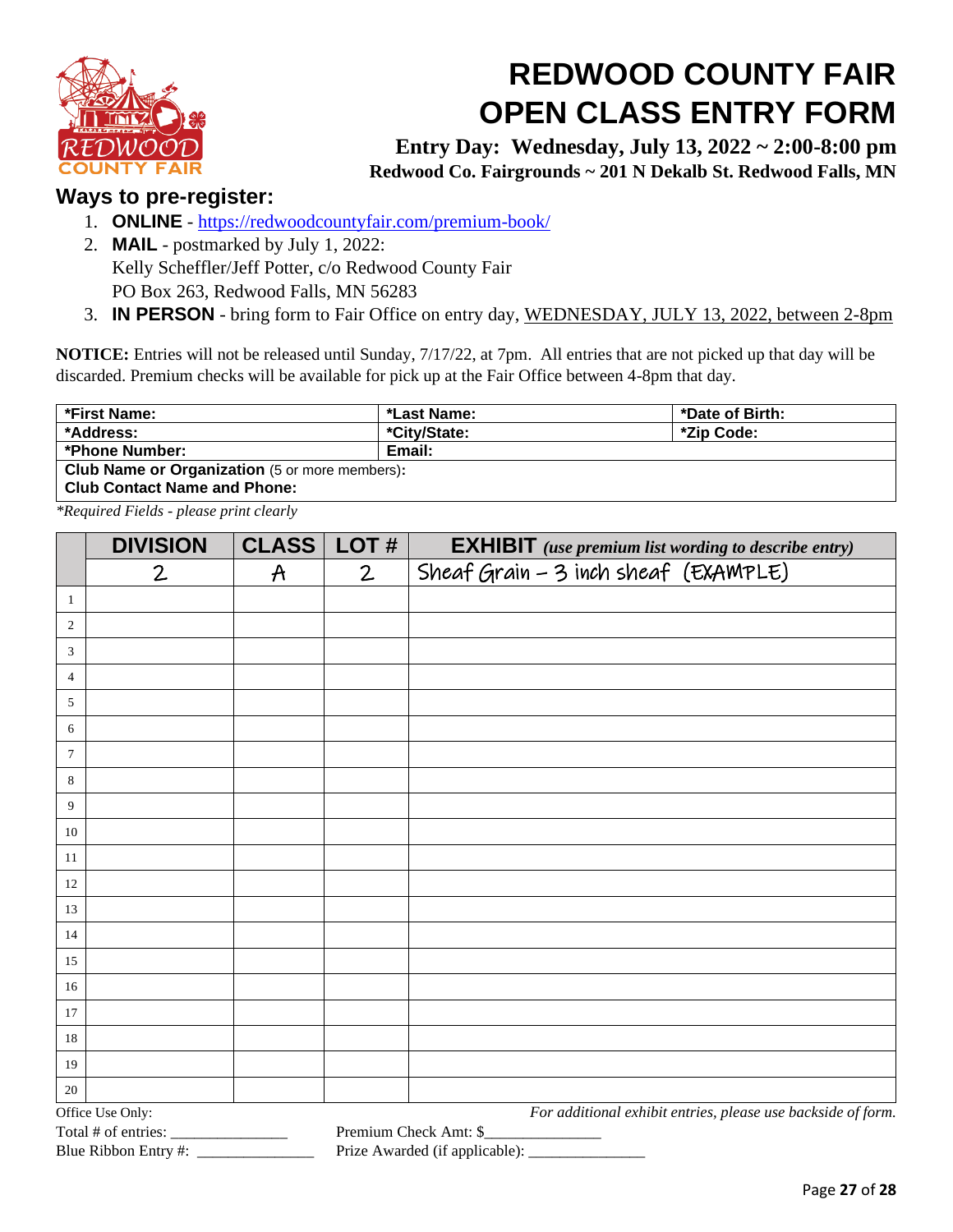

# **REDWOOD COUNTY FAIR OPEN CLASS ENTRY FORM**

**Entry Day: Wednesday, July 13, 2022 ~ 2:00-8:00 pm Redwood Co. Fairgrounds ~ 201 N Dekalb St. Redwood Falls, MN**

#### **Ways to pre-register:**

- 1. **ONLINE** <https://redwoodcountyfair.com/premium-book/>
- 2. **MAIL** postmarked by July 1, 2022: Kelly Scheffler/Jeff Potter, c/o Redwood County Fair PO Box 263, Redwood Falls, MN 56283
- 3. **IN PERSON** bring form to Fair Office on entry day, WEDNESDAY, JULY 13, 2022, between 2-8pm

**NOTICE:** Entries will not be released until Sunday, 7/17/22, at 7pm. All entries that are not picked up that day will be discarded. Premium checks will be available for pick up at the Fair Office between 4-8pm that day.

| *First Name:                                          | *Last Name:  | *Date of Birth: |  |
|-------------------------------------------------------|--------------|-----------------|--|
| *Address:                                             | *City/State: | *Zip Code:      |  |
| *Phone Number:                                        | Email:       |                 |  |
| <b>Club Name or Organization</b> (5 or more members): |              |                 |  |
| <b>Club Contact Name and Phone:</b>                   |              |                 |  |

*\*Required Fields - please print clearly* 

|                  | <b>DIVISION</b>       | <b>CLASS</b>  | LOT#         | <b>EXHIBIT</b> (use premium list wording to describe entry)  |
|------------------|-----------------------|---------------|--------------|--------------------------------------------------------------|
|                  | 2                     | $\mathcal{A}$ | $\mathbf{2}$ | Sheaf Grain - 3 inch sheaf (EXAMPLE)                         |
| 1                |                       |               |              |                                                              |
| $\boldsymbol{2}$ |                       |               |              |                                                              |
| 3                |                       |               |              |                                                              |
| 4                |                       |               |              |                                                              |
| 5                |                       |               |              |                                                              |
| 6                |                       |               |              |                                                              |
| $\tau$           |                       |               |              |                                                              |
| 8                |                       |               |              |                                                              |
| 9                |                       |               |              |                                                              |
| 10               |                       |               |              |                                                              |
| 11               |                       |               |              |                                                              |
| 12               |                       |               |              |                                                              |
| 13               |                       |               |              |                                                              |
| 14               |                       |               |              |                                                              |
| 15               |                       |               |              |                                                              |
| 16               |                       |               |              |                                                              |
| 17               |                       |               |              |                                                              |
| 18               |                       |               |              |                                                              |
| 19               |                       |               |              |                                                              |
| $20\,$           |                       |               |              |                                                              |
|                  | Office Use Only:      |               |              | For additional exhibit entries, please use backside of form. |
|                  | Total # of entries: _ |               |              | Premium Check Amt: \$                                        |

Blue Ribbon Entry #: \_\_\_\_\_\_\_\_\_\_\_\_\_\_\_\_\_\_\_\_\_\_\_\_\_ Prize Awarded (if applicable): \_\_